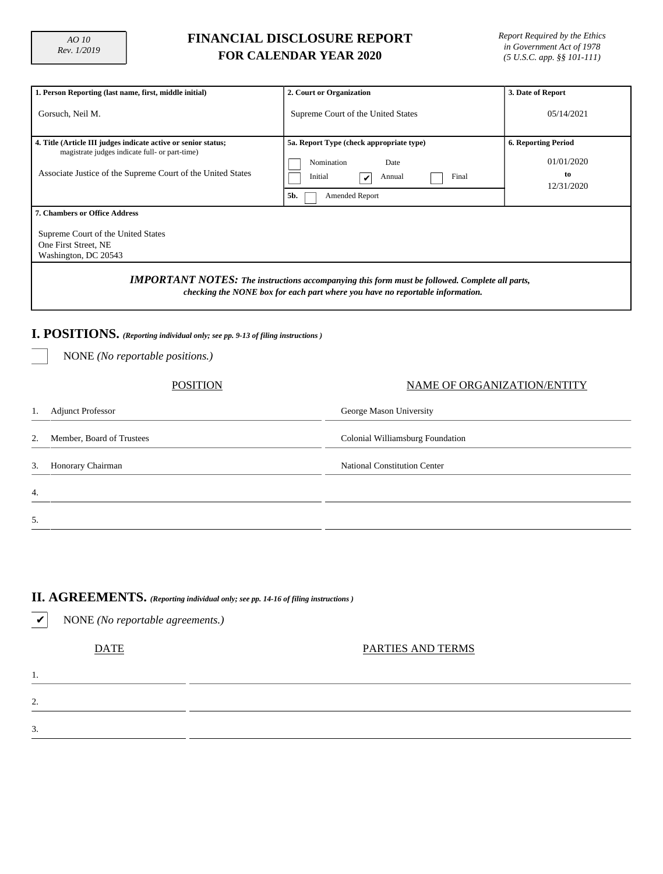## **FINANCIAL DISCLOSURE REPORT FOR CALENDAR YEAR 2020**

*Report Required by the Ethics in Government Act of 1978 (5 U.S.C. app. §§ 101-111)*

| 1. Person Reporting (last name, first, middle initial)                                                                                                                                 | 2. Court or Organization                                                                                                   | 3. Date of Report                                            |  |  |  |  |  |  |  |  |
|----------------------------------------------------------------------------------------------------------------------------------------------------------------------------------------|----------------------------------------------------------------------------------------------------------------------------|--------------------------------------------------------------|--|--|--|--|--|--|--|--|
| Gorsuch, Neil M.                                                                                                                                                                       | Supreme Court of the United States                                                                                         | 05/14/2021                                                   |  |  |  |  |  |  |  |  |
| 4. Title (Article III judges indicate active or senior status;<br>magistrate judges indicate full- or part-time)<br>Associate Justice of the Supreme Court of the United States        | 5a. Report Type (check appropriate type)<br>Nomination<br>Date<br>Initial<br>Final<br>Annual<br>V<br>5b.<br>Amended Report | <b>6. Reporting Period</b><br>01/01/2020<br>to<br>12/31/2020 |  |  |  |  |  |  |  |  |
| <b>7. Chambers or Office Address</b><br>Supreme Court of the United States<br>One First Street, NE<br>Washington, DC 20543                                                             |                                                                                                                            |                                                              |  |  |  |  |  |  |  |  |
| <b>IMPORTANT NOTES:</b> The instructions accompanying this form must be followed. Complete all parts,<br>checking the NONE box for each part where you have no reportable information. |                                                                                                                            |                                                              |  |  |  |  |  |  |  |  |
| I. POSITIONS. (Reporting individual only; see pp. 9-13 of filing instructions)<br>NONE (No reportable positions.)                                                                      |                                                                                                                            |                                                              |  |  |  |  |  |  |  |  |
|                                                                                                                                                                                        |                                                                                                                            |                                                              |  |  |  |  |  |  |  |  |
| POSITION                                                                                                                                                                               | NAME OF ORGANIZATION/ENTITY                                                                                                |                                                              |  |  |  |  |  |  |  |  |
| <b>Adjunct Professor</b><br>George Mason University<br>1.                                                                                                                              |                                                                                                                            |                                                              |  |  |  |  |  |  |  |  |

| 1.               | <b>Adjunct Professor</b>  | George Mason University             |  |  |  |  |  |  |
|------------------|---------------------------|-------------------------------------|--|--|--|--|--|--|
| 2.               | Member, Board of Trustees | Colonial Williamsburg Foundation    |  |  |  |  |  |  |
| 3.               | Honorary Chairman         | <b>National Constitution Center</b> |  |  |  |  |  |  |
| $\overline{4}$ . |                           |                                     |  |  |  |  |  |  |
| 5.               |                           |                                     |  |  |  |  |  |  |

# **II. AGREEMENTS.** *(Reporting individual only; see pp. 14-16 of filing instructions )*

✔ NONE *(No reportable agreements.)*

1.

2.

3.

DATE PARTIES AND TERMS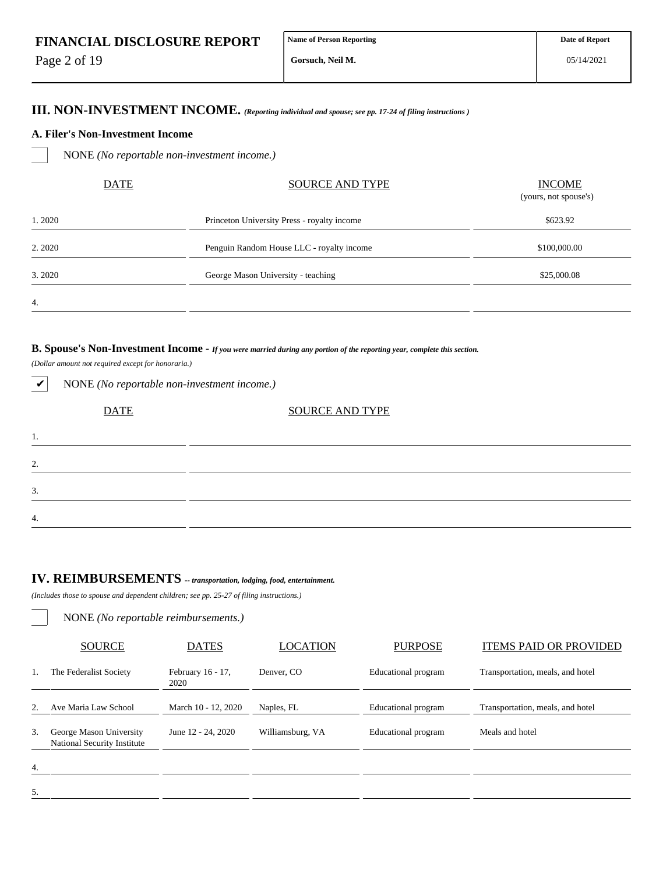Page 2 of 19

4.

**Gorsuch, Neil M.**

## **III. NON-INVESTMENT INCOME.** *(Reporting individual and spouse; see pp. 17-24 of filing instructions )*

#### **A. Filer's Non-Investment Income**

NONE *(No reportable non-investment income.)*

| <b>DATE</b> | <b>SOURCE AND TYPE</b>                      | <b>INCOME</b><br>(yours, not spouse's) |
|-------------|---------------------------------------------|----------------------------------------|
| 1. 2020     | Princeton University Press - royalty income | \$623.92                               |
| 2.2020      | Penguin Random House LLC - royalty income   | \$100,000.00                           |
| 3.2020      | George Mason University - teaching          | \$25,000.08                            |
| 4.          |                                             |                                        |

#### **B. Spouse's Non-Investment Income -** *If you were married during any portion of the reporting year, complete this section.*

*(Dollar amount not required except for honoraria.)*

✔ NONE *(No reportable non-investment income.)*

| <b>DATE</b> | <b>SOURCE AND TYPE</b> |  |
|-------------|------------------------|--|
| ı.          |                        |  |
| 2.          |                        |  |
| 3.          |                        |  |
| 4.          |                        |  |

# **IV. REIMBURSEMENTS** *-- transportation, lodging, food, entertainment.*

*(Includes those to spouse and dependent children; see pp. 25-27 of filing instructions.)*

NONE *(No reportable reimbursements.)*

|                  | <b>SOURCE</b>                                          | <b>DATES</b>              | <b>LOCATION</b>  | <b>PURPOSE</b>      | <b>ITEMS PAID OR PROVIDED</b>    |
|------------------|--------------------------------------------------------|---------------------------|------------------|---------------------|----------------------------------|
|                  | The Federalist Society                                 | February 16 - 17,<br>2020 | Denver, CO       | Educational program | Transportation, meals, and hotel |
| 2.               | Ave Maria Law School                                   | March 10 - 12, 2020       | Naples, FL       | Educational program | Transportation, meals, and hotel |
| 3.               | George Mason University<br>National Security Institute | June 12 - 24, 2020        | Williamsburg, VA | Educational program | Meals and hotel                  |
| $\overline{4}$ . |                                                        |                           |                  |                     |                                  |
| 5.               |                                                        |                           |                  |                     |                                  |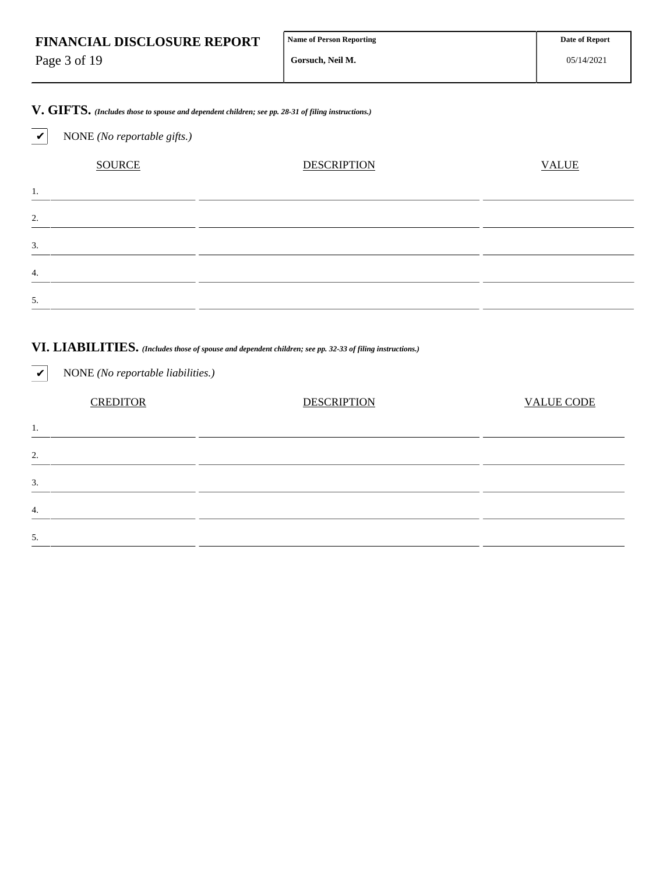| <b>FINANCIAL DISCLOSURE REPORT</b> | Name of Person Reporting | <b>Date of Report</b> |
|------------------------------------|--------------------------|-----------------------|
| Page 3 of 19                       | Gorsuch. Neil M.         | 05/14/2021            |

**V. GIFTS.** *(Includes those to spouse and dependent children; see pp. 28-31 of filing instructions.)*

✔ NONE *(No reportable gifts.)*

SOURCE DESCRIPTION DESCRIPTION VALUE 1. 2. 3. 4. 5.

# **VI. LIABILITIES.** *(Includes those of spouse and dependent children; see pp. 32-33 of filing instructions.)*

✔ NONE *(No reportable liabilities.)* CREDITOR DESCRIPTION VALUE CODE 1. 2. 3. 4. 5.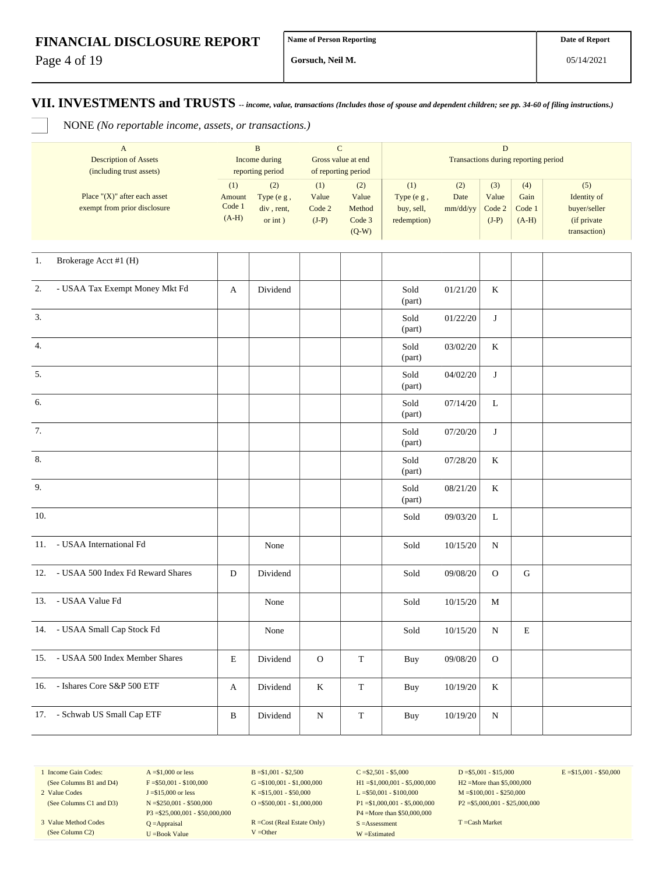Page 4 of 19

**Gorsuch, Neil M.**

**VII. INVESTMENTS and TRUSTS** *-- income, value, transactions (Includes those of spouse and dependent children; see pp. 34-60 of filing instructions.)*

NONE *(No reportable income, assets, or transactions.)*

| A<br><b>Description of Assets</b><br>(including trust assets)    | B<br>Income during<br>reporting period |                                            | C<br>Gross value at end<br>of reporting period |                                             | D<br>Transactions during reporting period           |                         |                                   |                                  |                                                                    |
|------------------------------------------------------------------|----------------------------------------|--------------------------------------------|------------------------------------------------|---------------------------------------------|-----------------------------------------------------|-------------------------|-----------------------------------|----------------------------------|--------------------------------------------------------------------|
| Place " $(X)$ " after each asset<br>exempt from prior disclosure | (1)<br>Amount<br>Code 1<br>$(A-H)$     | (2)<br>Type (e g,<br>div, rent,<br>or int) | (1)<br>Value<br>Code 2<br>$(J-P)$              | (2)<br>Value<br>Method<br>Code 3<br>$(Q-W)$ | (1)<br>Type $(e, g)$ ,<br>buy, sell,<br>redemption) | (2)<br>Date<br>mm/dd/yy | (3)<br>Value<br>Code 2<br>$(J-P)$ | (4)<br>Gain<br>Code 1<br>$(A-H)$ | (5)<br>Identity of<br>buyer/seller<br>(if private)<br>transaction) |

| 1.<br>Brokerage Acct #1 (H)                        |              |          |              |             |                |          |              |             |  |
|----------------------------------------------------|--------------|----------|--------------|-------------|----------------|----------|--------------|-------------|--|
| $\overline{2}$ .<br>- USAA Tax Exempt Money Mkt Fd | A            | Dividend |              |             | Sold<br>(part) | 01/21/20 | K            |             |  |
| 3.                                                 |              |          |              |             | Sold<br>(part) | 01/22/20 | J            |             |  |
| $\overline{4}$ .                                   |              |          |              |             | Sold<br>(part) | 03/02/20 | $\rm K$      |             |  |
| 5.                                                 |              |          |              |             | Sold<br>(part) | 04/02/20 | J            |             |  |
| 6.                                                 |              |          |              |             | Sold<br>(part) | 07/14/20 | L            |             |  |
| 7.                                                 |              |          |              |             | Sold<br>(part) | 07/20/20 | J            |             |  |
| 8.                                                 |              |          |              |             | Sold<br>(part) | 07/28/20 | K            |             |  |
| 9.                                                 |              |          |              |             | Sold<br>(part) | 08/21/20 | $\rm K$      |             |  |
| 10.                                                |              |          |              |             | Sold           | 09/03/20 | $\mathbf L$  |             |  |
| - USAA International Fd<br>11.                     |              | None     |              |             | Sold           | 10/15/20 | ${\bf N}$    |             |  |
| 12. - USAA 500 Index Fd Reward Shares              | D            | Dividend |              |             | Sold           | 09/08/20 | $\mathbf{O}$ | ${\bf G}$   |  |
| - USAA Value Fd<br>13.                             |              | None     |              |             | Sold           | 10/15/20 | M            |             |  |
| - USAA Small Cap Stock Fd<br>14.                   |              | None     |              |             | Sold           | 10/15/20 | ${\bf N}$    | $\mathbf E$ |  |
| 15. - USAA 500 Index Member Shares                 | E            | Dividend | $\mathcal O$ | $\mathbf T$ | Buy            | 09/08/20 | $\mathbf{O}$ |             |  |
| - Ishares Core S&P 500 ETF<br>16.                  | A            | Dividend | $\bf K$      | $\mathbf T$ | Buy            | 10/19/20 | $\rm K$      |             |  |
| - Schwab US Small Cap ETF<br>17.                   | $\, {\bf B}$ | Dividend | ${\bf N}$    | $\mathbf T$ | Buy            | 10/19/20 | N            |             |  |

1 Income Gain Codes: (See Columns B1 and D4)

2 Value Codes

(See Columns C1 and D3) 3 Value Method Codes (See Column C2)

 $A = $1,000$  or less  $F = $50,001 - $100,000$ J =\$15,000 or less N =\$250,001 - \$500,000 P3 =\$25,000,001 - \$50,000,000 Q =Appraisal U =Book Value

 $B = $1,001 - $2,500$  $G = $100,001 - $1,000,000$ K =\$15,001 - \$50,000  $O = $500,001 - $1,000,000$ 

R =Cost (Real Estate Only) V =Other

 $C = $2,501 - $5,000$ H1 =\$1,000,001 - \$5,000,000 L =\$50,001 - \$100,000 P1 =\$1,000,001 - \$5,000,000 P4 =More than \$50,000,000 S =Assessment W =Estimated

 $D = $5,001 - $15,000$ H2 =More than \$5,000,000 M =\$100,001 - \$250,000 P2 =\$5,000,001 - \$25,000,000  $E = $15,001 - $50,000$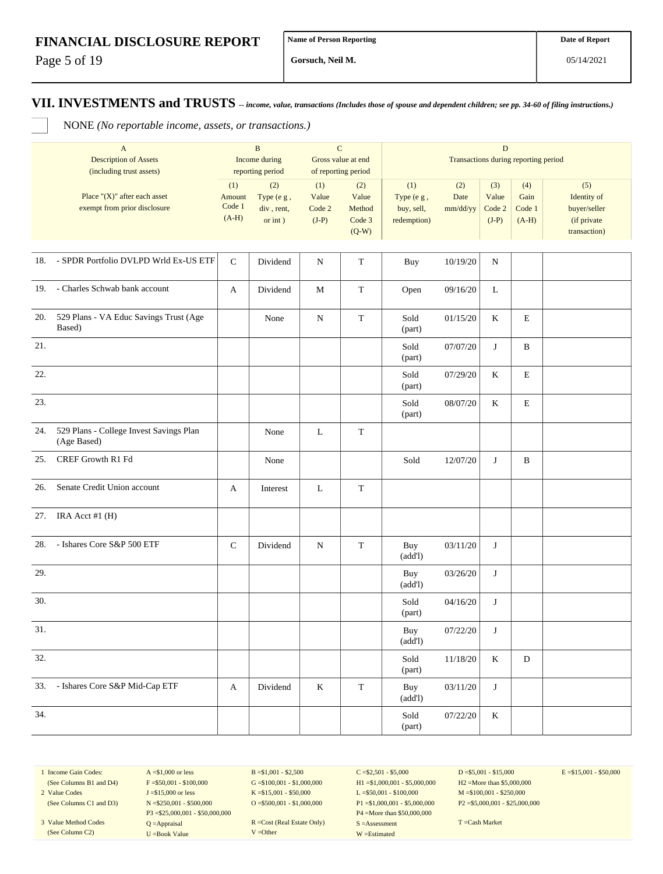Page 5 of 19

**Gorsuch, Neil M.**

**VII. INVESTMENTS and TRUSTS** *-- income, value, transactions (Includes those of spouse and dependent children; see pp. 34-60 of filing instructions.)*

NONE *(No reportable income, assets, or transactions.)*

|     | $\mathbf{A}$<br><b>Description of Assets</b><br>(including trust assets) |                                    | $\, {\bf B}$<br>Income during<br>reporting period | ${\bf C}$                         | Gross value at end<br>of reporting period   |                                                | $\mathbf D$             | Transactions during reporting period |                                  |                                                                   |
|-----|--------------------------------------------------------------------------|------------------------------------|---------------------------------------------------|-----------------------------------|---------------------------------------------|------------------------------------------------|-------------------------|--------------------------------------|----------------------------------|-------------------------------------------------------------------|
|     | Place " $(X)$ " after each asset<br>exempt from prior disclosure         | (1)<br>Amount<br>Code 1<br>$(A-H)$ | (2)<br>Type (e g,<br>div, rent,<br>or $int$ )     | (1)<br>Value<br>Code 2<br>$(J-P)$ | (2)<br>Value<br>Method<br>Code 3<br>$(Q-W)$ | (1)<br>Type (e g,<br>buy, sell,<br>redemption) | (2)<br>Date<br>mm/dd/yy | (3)<br>Value<br>Code 2<br>$(J-P)$    | (4)<br>Gain<br>Code 1<br>$(A-H)$ | (5)<br>Identity of<br>buyer/seller<br>(if private<br>transaction) |
|     | 18. - SPDR Portfolio DVLPD Wrld Ex-US ETF                                | ${\bf C}$                          | Dividend                                          | N                                 | $\mathbf T$                                 | Buy                                            | 10/19/20                | N                                    |                                  |                                                                   |
| 19. | - Charles Schwab bank account                                            | A                                  | Dividend                                          | М                                 | $\mathbf T$                                 | Open                                           | 09/16/20                | L                                    |                                  |                                                                   |
| 20. | 529 Plans - VA Educ Savings Trust (Age<br>Based)                         |                                    | None                                              | N                                 | $\mathbf T$                                 | Sold<br>(part)                                 | 01/15/20                | K                                    | E                                |                                                                   |
| 21. |                                                                          |                                    |                                                   |                                   |                                             | Sold<br>(part)                                 | 07/07/20                | J                                    | B                                |                                                                   |
| 22. |                                                                          |                                    |                                                   |                                   |                                             | Sold<br>(part)                                 | 07/29/20                | K                                    | E                                |                                                                   |
| 23. |                                                                          |                                    |                                                   |                                   |                                             | Sold<br>(part)                                 | 08/07/20                | K                                    | E                                |                                                                   |
| 24. | 529 Plans - College Invest Savings Plan<br>(Age Based)                   |                                    | None                                              | L                                 | $\mathbf T$                                 |                                                |                         |                                      |                                  |                                                                   |
| 25. | CREF Growth R1 Fd                                                        |                                    | None                                              |                                   |                                             | Sold                                           | 12/07/20                | J                                    | B                                |                                                                   |
| 26. | Senate Credit Union account                                              | A                                  | Interest                                          | L                                 | T                                           |                                                |                         |                                      |                                  |                                                                   |
| 27. | IRA Acct #1 $(H)$                                                        |                                    |                                                   |                                   |                                             |                                                |                         |                                      |                                  |                                                                   |
| 28. | - Ishares Core S&P 500 ETF                                               | $\mathsf{C}$                       | Dividend                                          | N                                 | $\mathbf T$                                 | Buy<br>(add!)                                  | 03/11/20                | J                                    |                                  |                                                                   |
| 29. |                                                                          |                                    |                                                   |                                   |                                             | Buy<br>(add!)                                  | 03/26/20                | J                                    |                                  |                                                                   |
| 30. |                                                                          |                                    |                                                   |                                   |                                             | Sold<br>(part)                                 | 04/16/20                | J                                    |                                  |                                                                   |
| 31. |                                                                          |                                    |                                                   |                                   |                                             | Buy<br>(add!)                                  | 07/22/20                | J                                    |                                  |                                                                   |
| 32. |                                                                          |                                    |                                                   |                                   |                                             | $\operatorname{Sold}$<br>(part)                | $11/18/20$              | $\rm K$                              | $\mathbf D$                      |                                                                   |
| 33. | - Ishares Core S&P Mid-Cap ETF                                           | A                                  | Dividend                                          | $\rm K$                           | $\mathbf T$                                 | Buy<br>(add!)                                  | 03/11/20                | J                                    |                                  |                                                                   |
| 34. |                                                                          |                                    |                                                   |                                   |                                             | Sold<br>(part)                                 | 07/22/20                | $\rm K$                              |                                  |                                                                   |

1 Income Gain Codes: (See Columns B1 and D4)

2 Value Codes (See Columns C1 and D3)

3 Value Method Codes (See Column C2)

 $A = $1,000$  or less  $F = $50,001 - $100,000$ J =\$15,000 or less N =\$250,001 - \$500,000 P3 =\$25,000,001 - \$50,000,000 Q =Appraisal U =Book Value

 $B = $1,001 - $2,500$  $G = $100,001 - $1,000,000$ K =\$15,001 - \$50,000 O =  $$500,001 - $1,000,000$ 

R =Cost (Real Estate Only) V =Other

 $C = $2,501 - $5,000$ H1 =\$1,000,001 - \$5,000,000 L =\$50,001 - \$100,000 P1 =\$1,000,001 - \$5,000,000 P4 =More than \$50,000,000 S =Assessment W =Estimated

 $D = $5,001 - $15,000$ H2 =More than \$5,000,000 M =\$100,001 - \$250,000 P2 =\$5,000,001 - \$25,000,000  $E = $15,001 - $50,000$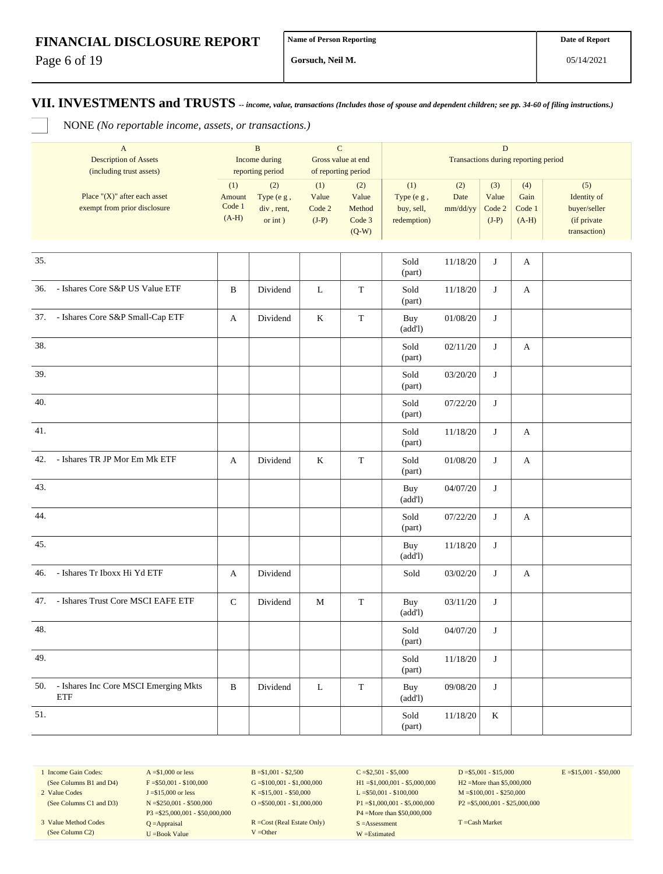Page 6 of 19

**Gorsuch, Neil M.**

**VII. INVESTMENTS and TRUSTS** *-- income, value, transactions (Includes those of spouse and dependent children; see pp. 34-60 of filing instructions.)*

NONE *(No reportable income, assets, or transactions.)*

|     | $\mathbf{A}$<br><b>Description of Assets</b>                                                 |                                    | $\, {\bf B}$<br>Income during                                     |                                   | ${\bf C}$<br>Gross value at end                                    | ${\bf D}$<br>Transactions during reporting period |                         |                                   |                                  |                                                                   |
|-----|----------------------------------------------------------------------------------------------|------------------------------------|-------------------------------------------------------------------|-----------------------------------|--------------------------------------------------------------------|---------------------------------------------------|-------------------------|-----------------------------------|----------------------------------|-------------------------------------------------------------------|
|     | (including trust assets)<br>Place " $(X)$ " after each asset<br>exempt from prior disclosure | (1)<br>Amount<br>Code 1<br>$(A-H)$ | reporting period<br>(2)<br>Type (e g,<br>div, rent,<br>or $int$ ) | (1)<br>Value<br>Code 2<br>$(J-P)$ | of reporting period<br>(2)<br>Value<br>Method<br>Code 3<br>$(Q-W)$ | (1)<br>Type (e g,<br>buy, sell,<br>redemption)    | (2)<br>Date<br>mm/dd/yy | (3)<br>Value<br>Code 2<br>$(J-P)$ | (4)<br>Gain<br>Code 1<br>$(A-H)$ | (5)<br>Identity of<br>buyer/seller<br>(if private<br>transaction) |
| 35. |                                                                                              |                                    |                                                                   |                                   |                                                                    | Sold<br>(part)                                    | 11/18/20                | J                                 | A                                |                                                                   |
| 36. | - Ishares Core S&P US Value ETF                                                              | B                                  | Dividend                                                          | $\mathbf L$                       | $\mathbf T$                                                        | Sold<br>(part)                                    | 11/18/20                | J                                 | A                                |                                                                   |
|     | 37. - Ishares Core S&P Small-Cap ETF                                                         | $\mathbf{A}$                       | Dividend                                                          | $\bf K$                           | $\mathbf T$                                                        | Buy<br>(add!)                                     | 01/08/20                | J                                 |                                  |                                                                   |
| 38. |                                                                                              |                                    |                                                                   |                                   |                                                                    | Sold<br>(part)                                    | 02/11/20                | J                                 | A                                |                                                                   |
| 39. |                                                                                              |                                    |                                                                   |                                   |                                                                    | Sold<br>(part)                                    | 03/20/20                | J                                 |                                  |                                                                   |
| 40. |                                                                                              |                                    |                                                                   |                                   |                                                                    | Sold<br>(part)                                    | 07/22/20                | J                                 |                                  |                                                                   |
| 41. |                                                                                              |                                    |                                                                   |                                   |                                                                    | Sold<br>(part)                                    | 11/18/20                | J                                 | A                                |                                                                   |
| 42. | - Ishares TR JP Mor Em Mk ETF                                                                | A                                  | Dividend                                                          | $\rm K$                           | T                                                                  | Sold<br>(part)                                    | 01/08/20                | J                                 | A                                |                                                                   |
| 43. |                                                                                              |                                    |                                                                   |                                   |                                                                    | Buy<br>(add!)                                     | 04/07/20                | J                                 |                                  |                                                                   |
| 44. |                                                                                              |                                    |                                                                   |                                   |                                                                    | Sold<br>(part)                                    | 07/22/20                | J                                 | A                                |                                                                   |
| 45. |                                                                                              |                                    |                                                                   |                                   |                                                                    | Buy<br>(add!)                                     | 11/18/20                | J                                 |                                  |                                                                   |
| 46. | - Ishares Tr Iboxx Hi Yd ETF                                                                 | A                                  | Dividend                                                          |                                   |                                                                    | Sold                                              | 03/02/20                | J                                 | A                                |                                                                   |
| 47. | - Ishares Trust Core MSCI EAFE ETF                                                           | $\mathsf{C}$                       | Dividend                                                          | M                                 | $\mathbf T$                                                        | Buy<br>(add!)                                     | 03/11/20                | J                                 |                                  |                                                                   |
| 48. |                                                                                              |                                    |                                                                   |                                   |                                                                    | Sold<br>(part)                                    | 04/07/20                | J                                 |                                  |                                                                   |
| 49. |                                                                                              |                                    |                                                                   |                                   |                                                                    | Sold<br>(part)                                    | $11/18/20$              | $\mathbf{J}$                      |                                  |                                                                   |
| 50. | - Ishares Inc Core MSCI Emerging Mkts<br><b>ETF</b>                                          | $\, {\bf B}$                       | Dividend                                                          | ${\bf L}$                         | $\mathbf T$                                                        | Buy<br>(add!)                                     | 09/08/20                | J                                 |                                  |                                                                   |
| 51. |                                                                                              |                                    |                                                                   |                                   |                                                                    | Sold<br>(part)                                    | 11/18/20                | $\mathbf K$                       |                                  |                                                                   |

1 Income Gain Codes: (See Columns B1 and D4)

2 Value Codes (See Columns C1 and D3)

3 Value Method Codes (See Column C2)

 $F = $50,001 - $100,000$ J =\$15,000 or less N =\$250,001 - \$500,000 P3 =\$25,000,001 - \$50,000,000 Q =Appraisal U =Book Value

 $A = $1,000$  or less

 $B = $1,001 - $2,500$  $G = $100,001 - $1,000,000$ K =\$15,001 - \$50,000 O =  $$500,001 - $1,000,000$ 

R =Cost (Real Estate Only) V =Other

 $C = $2,501 - $5,000$ H1 =\$1,000,001 - \$5,000,000 L =\$50,001 - \$100,000 P1 =\$1,000,001 - \$5,000,000 P4 =More than \$50,000,000 S =Assessment W =Estimated

 $D = $5,001 - $15,000$ H2 =More than \$5,000,000 M =\$100,001 - \$250,000 P2 =\$5,000,001 - \$25,000,000  $E = $15,001 - $50,000$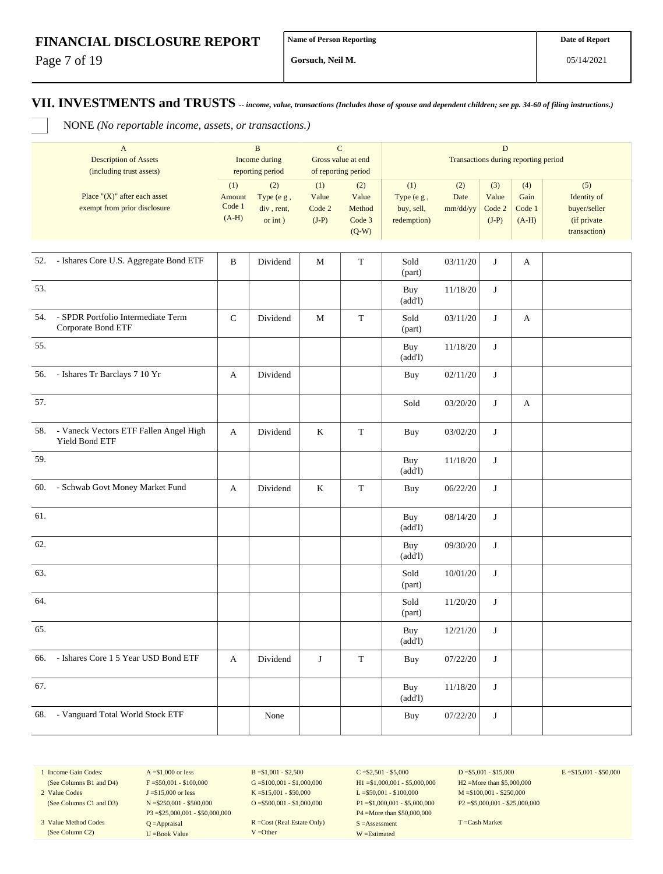Page 7 of 19

**Gorsuch, Neil M.**

**VII. INVESTMENTS and TRUSTS** *-- income, value, transactions (Includes those of spouse and dependent children; see pp. 34-60 of filing instructions.)*

NONE *(No reportable income, assets, or transactions.)*

|     | $\mathbf{A}$<br><b>Description of Assets</b><br>(including trust assets) |                                    | B<br>Income during<br>reporting period     |                                   | $\mathbf C$<br>Gross value at end<br>of reporting period | $\mathbf D$<br>Transactions during reporting period |                         |                                   |                                  |                                                                   |
|-----|--------------------------------------------------------------------------|------------------------------------|--------------------------------------------|-----------------------------------|----------------------------------------------------------|-----------------------------------------------------|-------------------------|-----------------------------------|----------------------------------|-------------------------------------------------------------------|
|     | Place " $(X)$ " after each asset<br>exempt from prior disclosure         | (1)<br>Amount<br>Code 1<br>$(A-H)$ | (2)<br>Type (e g,<br>div, rent,<br>or int) | (1)<br>Value<br>Code 2<br>$(J-P)$ | (2)<br>Value<br>Method<br>Code 3<br>$(Q-W)$              | (1)<br>Type (e g,<br>buy, sell,<br>redemption)      | (2)<br>Date<br>mm/dd/yy | (3)<br>Value<br>Code 2<br>$(J-P)$ | (4)<br>Gain<br>Code 1<br>$(A-H)$ | (5)<br>Identity of<br>buyer/seller<br>(if private<br>transaction) |
|     | 52. - Ishares Core U.S. Aggregate Bond ETF                               | $\, {\bf B}$                       | Dividend                                   | M                                 | $\mathbf T$                                              | Sold<br>(part)                                      | 03/11/20                | J                                 | A                                |                                                                   |
| 53. |                                                                          |                                    |                                            |                                   |                                                          | Buy<br>(add!)                                       | 11/18/20                | J                                 |                                  |                                                                   |
| 54. | - SPDR Portfolio Intermediate Term<br>Corporate Bond ETF                 | $\mathsf C$                        | Dividend                                   | $\mathbf M$                       | $\mathbf T$                                              | Sold<br>(part)                                      | 03/11/20                | J                                 | A                                |                                                                   |
| 55. |                                                                          |                                    |                                            |                                   |                                                          | Buy<br>(add!)                                       | 11/18/20                | J                                 |                                  |                                                                   |
|     | 56. - Ishares Tr Barclays 7 10 Yr                                        | A                                  | Dividend                                   |                                   |                                                          | Buy                                                 | 02/11/20                | J                                 |                                  |                                                                   |
| 57. |                                                                          |                                    |                                            |                                   |                                                          | Sold                                                | 03/20/20                | J                                 | A                                |                                                                   |
| 58. | - Vaneck Vectors ETF Fallen Angel High<br>Yield Bond ETF                 | A                                  | Dividend                                   | $\rm K$                           | $\mathbf T$                                              | Buy                                                 | 03/02/20                | J                                 |                                  |                                                                   |
| 59. |                                                                          |                                    |                                            |                                   |                                                          | Buy<br>(add!)                                       | 11/18/20                | J                                 |                                  |                                                                   |
| 60. | - Schwab Govt Money Market Fund                                          | A                                  | Dividend                                   | $\rm K$                           | $\mathbf T$                                              | Buy                                                 | 06/22/20                | J                                 |                                  |                                                                   |
| 61. |                                                                          |                                    |                                            |                                   |                                                          | Buy<br>(add!)                                       | 08/14/20                | J                                 |                                  |                                                                   |
| 62. |                                                                          |                                    |                                            |                                   |                                                          | Buy<br>(add!)                                       | 09/30/20                | J                                 |                                  |                                                                   |
| 63. |                                                                          |                                    |                                            |                                   |                                                          | Sold<br>(part)                                      | 10/01/20                | J                                 |                                  |                                                                   |
| 64. |                                                                          |                                    |                                            |                                   |                                                          | Sold<br>(part)                                      | 11/20/20                | J                                 |                                  |                                                                   |
| 65. |                                                                          |                                    |                                            |                                   |                                                          | Buy<br>(add!)                                       | 12/21/20                | J                                 |                                  |                                                                   |
| 66. | - Ishares Core 1 5 Year USD Bond ETF                                     | A                                  | Dividend                                   | J                                 | $\mathbf T$                                              | Buy                                                 | 07/22/20                | J                                 |                                  |                                                                   |
| 67. |                                                                          |                                    |                                            |                                   |                                                          | Buy<br>(add!)                                       | 11/18/20                | J                                 |                                  |                                                                   |
| 68. | - Vanguard Total World Stock ETF                                         |                                    | None                                       |                                   |                                                          | Buy                                                 | 07/22/20                | J                                 |                                  |                                                                   |

1 Income Gain Codes: (See Columns B1 and D4)

2 Value Codes (See Columns C1 and D3)

3 Value Method Codes (See Column C2)

 $A = $1,000$  or less  $F = $50,001 - $100,000$ J =\$15,000 or less N =\$250,001 - \$500,000 P3 =\$25,000,001 - \$50,000,000 Q =Appraisal U =Book Value

B =\$1,001 - \$2,500  $G = $100,001 - $1,000,000$ K =\$15,001 - \$50,000 O =  $$500,001 - $1,000,000$ 

R =Cost (Real Estate Only) V =Other

 $C = $2,501 - $5,000$ H1 =\$1,000,001 - \$5,000,000 L =\$50,001 - \$100,000 P1 =\$1,000,001 - \$5,000,000 P4 =More than \$50,000,000 S =Assessment W =Estimated

 $D = $5,001 - $15,000$ H2 =More than \$5,000,000 M =\$100,001 - \$250,000 P2 =\$5,000,001 - \$25,000,000  $E = $15,001 - $50,000$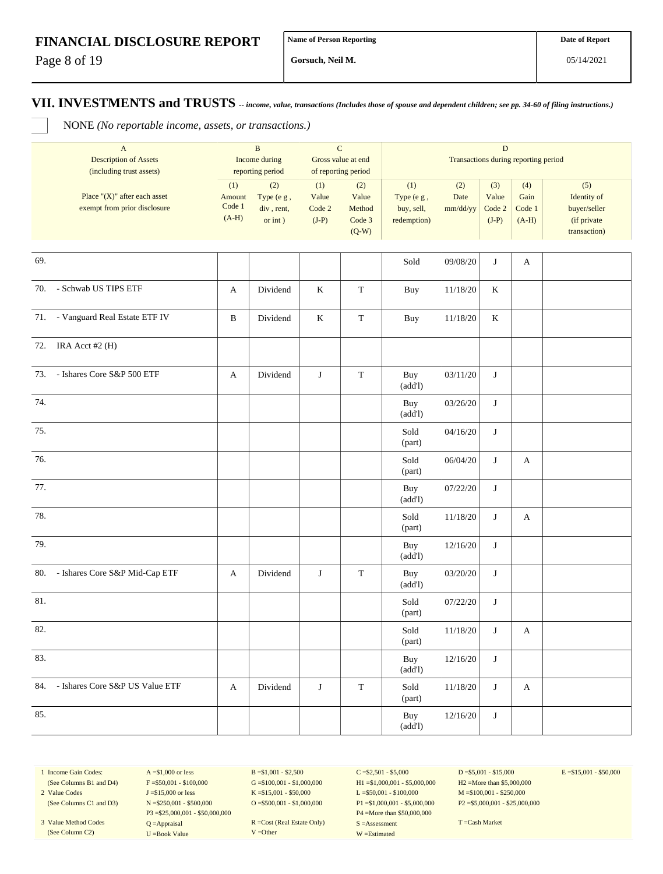Page 8 of 19

**Gorsuch, Neil M.**

**VII. INVESTMENTS and TRUSTS** *-- income, value, transactions (Includes those of spouse and dependent children; see pp. 34-60 of filing instructions.)*

NONE *(No reportable income, assets, or transactions.)*

| $\mathbf{A}$<br><b>Description of Assets</b><br>(including trust assets) | $\, {\bf B}$<br>Income during<br>reporting period |                                            | ${\bf C}$<br>Gross value at end<br>of reporting period |                                             |                                                | $\mathbf D$<br>Transactions during reporting period |                                   |                                  |                                                                   |
|--------------------------------------------------------------------------|---------------------------------------------------|--------------------------------------------|--------------------------------------------------------|---------------------------------------------|------------------------------------------------|-----------------------------------------------------|-----------------------------------|----------------------------------|-------------------------------------------------------------------|
| Place " $(X)$ " after each asset<br>exempt from prior disclosure         | (1)<br>Amount<br>Code 1<br>$(A-H)$                | (2)<br>Type (e g,<br>div, rent,<br>or int) | (1)<br>Value<br>Code 2<br>$(J-P)$                      | (2)<br>Value<br>Method<br>Code 3<br>$(Q-W)$ | (1)<br>Type (e g,<br>buy, sell,<br>redemption) | (2)<br>Date<br>mm/dd/yy                             | (3)<br>Value<br>Code 2<br>$(J-P)$ | (4)<br>Gain<br>Code 1<br>$(A-H)$ | (5)<br>Identity of<br>buyer/seller<br>(if private<br>transaction) |
| 69.                                                                      |                                                   |                                            |                                                        |                                             | Sold                                           | 09/08/20                                            | J                                 | A                                |                                                                   |
| 70. - Schwab US TIPS ETF                                                 | A                                                 | Dividend                                   | $\rm K$                                                | $\mathbf T$                                 | <b>Buy</b>                                     | 11/18/20                                            | K                                 |                                  |                                                                   |
| 71. - Vanguard Real Estate ETF IV                                        | B                                                 | Dividend                                   | $\rm K$                                                | $\mathbf T$                                 | Buy                                            | 11/18/20                                            | K                                 |                                  |                                                                   |
| IRA Acct #2 (H)<br>72.                                                   |                                                   |                                            |                                                        |                                             |                                                |                                                     |                                   |                                  |                                                                   |
| 73. - Ishares Core S&P 500 ETF                                           | A                                                 | Dividend                                   | J                                                      | $\mathbf T$                                 | Buy<br>(add!)                                  | 03/11/20                                            | J                                 |                                  |                                                                   |
| 74.                                                                      |                                                   |                                            |                                                        |                                             | Buy<br>(add!)                                  | 03/26/20                                            | J                                 |                                  |                                                                   |
| 75.                                                                      |                                                   |                                            |                                                        |                                             | Sold<br>(part)                                 | 04/16/20                                            | J                                 |                                  |                                                                   |
| 76.                                                                      |                                                   |                                            |                                                        |                                             | Sold<br>(part)                                 | 06/04/20                                            | J                                 | A                                |                                                                   |
| 77.                                                                      |                                                   |                                            |                                                        |                                             | Buy<br>(add!)                                  | 07/22/20                                            | J                                 |                                  |                                                                   |
| 78.                                                                      |                                                   |                                            |                                                        |                                             | Sold<br>(part)                                 | 11/18/20                                            | J                                 | A                                |                                                                   |
| 79.                                                                      |                                                   |                                            |                                                        |                                             | Buy<br>(add!)                                  | 12/16/20                                            | J                                 |                                  |                                                                   |
| - Ishares Core S&P Mid-Cap ETF<br>80.                                    | A                                                 | Dividend                                   | J                                                      | $\mathbf T$                                 | Buy<br>(add!)                                  | 03/20/20                                            | J                                 |                                  |                                                                   |
| 81.                                                                      |                                                   |                                            |                                                        |                                             | Sold<br>(part)                                 | 07/22/20                                            | J                                 |                                  |                                                                   |
| 82.                                                                      |                                                   |                                            |                                                        |                                             | Sold<br>(part)                                 | 11/18/20                                            | J                                 | A                                |                                                                   |
| 83.                                                                      |                                                   |                                            |                                                        |                                             | Buy<br>(add!)                                  | 12/16/20                                            | J                                 |                                  |                                                                   |
| - Ishares Core S&P US Value ETF<br>84.                                   | $\mathbf{A}$                                      | Dividend                                   | J                                                      | $\mathbf T$                                 | Sold<br>(part)                                 | 11/18/20                                            | J                                 | A                                |                                                                   |
| 85.                                                                      |                                                   |                                            |                                                        |                                             | Buy<br>(add!)                                  | 12/16/20                                            | J                                 |                                  |                                                                   |

1 Income Gain Codes: (See Columns B1 and D4)

2 Value Codes (See Columns C1 and D3)

3 Value Method Codes (See Column C2)

 $F = $50,001 - $100,000$ J =\$15,000 or less N =\$250,001 - \$500,000 P3 =\$25,000,001 - \$50,000,000 Q =Appraisal U =Book Value

 $A = $1,000$  or less

 $B = $1,001 - $2,500$  $G = $100,001 - $1,000,000$ K =\$15,001 - \$50,000 O =  $$500,001 - $1,000,000$ 

R =Cost (Real Estate Only) V =Other

 $C = $2,501 - $5,000$ H1 =\$1,000,001 - \$5,000,000 L =\$50,001 - \$100,000 P1 =\$1,000,001 - \$5,000,000 P4 =More than \$50,000,000 S =Assessment W =Estimated

 $D = $5,001 - $15,000$ H2 =More than \$5,000,000 M =\$100,001 - \$250,000 P2 =\$5,000,001 - \$25,000,000  $E = $15,001 - $50,000$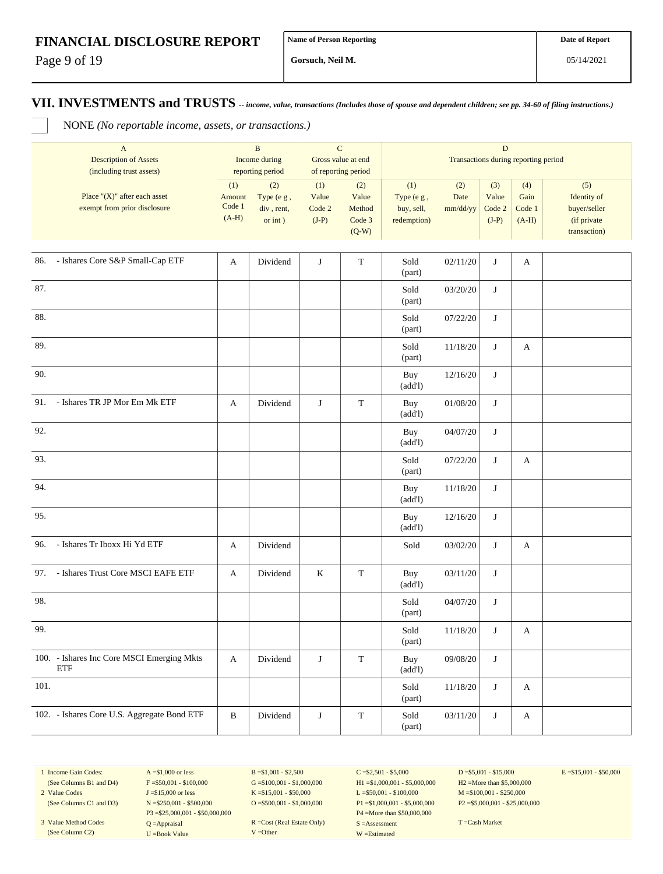Page 9 of 19

**Gorsuch, Neil M.**

**VII. INVESTMENTS and TRUSTS** *-- income, value, transactions (Includes those of spouse and dependent children; see pp. 34-60 of filing instructions.)*

NONE *(No reportable income, assets, or transactions.)*

|        | $\mathbf{A}$<br><b>Description of Assets</b><br>(including trust assets) |                                    | $\, {\bf B}$<br>Income during<br>reporting period |                                   | $\mathbf C$<br>Gross value at end<br>of reporting period |                                                | $\mathbf D$<br>Transactions during reporting period |                                   |                                  |                                                                   |  |  |
|--------|--------------------------------------------------------------------------|------------------------------------|---------------------------------------------------|-----------------------------------|----------------------------------------------------------|------------------------------------------------|-----------------------------------------------------|-----------------------------------|----------------------------------|-------------------------------------------------------------------|--|--|
|        | Place " $(X)$ " after each asset<br>exempt from prior disclosure         | (1)<br>Amount<br>Code 1<br>$(A-H)$ | (2)<br>Type (e g,<br>div, rent,<br>or int)        | (1)<br>Value<br>Code 2<br>$(J-P)$ | (2)<br>Value<br>Method<br>Code 3<br>$(Q-W)$              | (1)<br>Type (e g,<br>buy, sell,<br>redemption) | (2)<br>Date<br>mm/dd/yy                             | (3)<br>Value<br>Code 2<br>$(J-P)$ | (4)<br>Gain<br>Code 1<br>$(A-H)$ | (5)<br>Identity of<br>buyer/seller<br>(if private<br>transaction) |  |  |
| 86.    | - Ishares Core S&P Small-Cap ETF                                         | A                                  | Dividend                                          | $\mathbf{J}$                      | $\mathbf T$                                              | Sold<br>(part)                                 | 02/11/20                                            | J                                 | А                                |                                                                   |  |  |
| 87.    |                                                                          |                                    |                                                   |                                   |                                                          | Sold<br>(part)                                 | 03/20/20                                            | J                                 |                                  |                                                                   |  |  |
| 88.    |                                                                          |                                    |                                                   |                                   |                                                          | Sold<br>(part)                                 | 07/22/20                                            | J                                 |                                  |                                                                   |  |  |
| 89.    |                                                                          |                                    |                                                   |                                   |                                                          | Sold<br>(part)                                 | 11/18/20                                            | J                                 | A                                |                                                                   |  |  |
| 90.    |                                                                          |                                    |                                                   |                                   |                                                          | Buy<br>(add!)                                  | 12/16/20                                            | J                                 |                                  |                                                                   |  |  |
| 91.    | - Ishares TR JP Mor Em Mk ETF                                            | A                                  | Dividend                                          | J                                 | $\mathbf T$                                              | Buy<br>(add!)                                  | 01/08/20                                            | J                                 |                                  |                                                                   |  |  |
| 92.    |                                                                          |                                    |                                                   |                                   |                                                          | Buy<br>(add!)                                  | 04/07/20                                            | J                                 |                                  |                                                                   |  |  |
| 93.    |                                                                          |                                    |                                                   |                                   |                                                          | Sold<br>(part)                                 | 07/22/20                                            | J                                 | A                                |                                                                   |  |  |
| 94.    |                                                                          |                                    |                                                   |                                   |                                                          | Buy<br>(add!)                                  | 11/18/20                                            | J                                 |                                  |                                                                   |  |  |
| 95.    |                                                                          |                                    |                                                   |                                   |                                                          | Buy<br>(add!)                                  | 12/16/20                                            | J                                 |                                  |                                                                   |  |  |
| 96.    | - Ishares Tr Iboxx Hi Yd ETF                                             | A                                  | Dividend                                          |                                   |                                                          | Sold                                           | 03/02/20                                            | J                                 | A                                |                                                                   |  |  |
| 97.    | - Ishares Trust Core MSCI EAFE ETF                                       | A                                  | Dividend                                          | $\bf K$                           | $\mathbf T$                                              | Buy<br>(add!)                                  | 03/11/20                                            | J                                 |                                  |                                                                   |  |  |
| 98.    |                                                                          |                                    |                                                   |                                   |                                                          | Sold<br>(part)                                 | 04/07/20                                            | J                                 |                                  |                                                                   |  |  |
| 99.    |                                                                          |                                    |                                                   |                                   |                                                          | Sold<br>(part)                                 | 11/18/20                                            | J                                 | A                                |                                                                   |  |  |
|        | 100. - Ishares Inc Core MSCI Emerging Mkts<br>ETF                        | $\mathbf{A}$                       | Dividend                                          | $\bf J$                           | $\mathbf T$                                              | Buy<br>(add!)                                  | 09/08/20                                            | J                                 |                                  |                                                                   |  |  |
| $101.$ |                                                                          |                                    |                                                   |                                   |                                                          | Sold<br>(part)                                 | 11/18/20                                            | $\bf J$                           | A                                |                                                                   |  |  |
|        | 102. - Ishares Core U.S. Aggregate Bond ETF                              | $\, {\bf B}$                       | Dividend                                          | $\bf J$                           | $\mathbf T$                                              | Sold<br>(part)                                 | 03/11/20                                            | $\bf J$                           | $\mathbf A$                      |                                                                   |  |  |

1 Income Gain Codes: (See Columns B1 and D4)

2 Value Codes (See Columns C1 and D3)

3 Value Method Codes (See Column C2)

 $A = $1,000$  or less  $F = $50,001 - $100,000$ J =\$15,000 or less N =\$250,001 - \$500,000 P3 =\$25,000,001 - \$50,000,000 Q =Appraisal U =Book Value

 $B = $1,001 - $2,500$  $G = $100,001 - $1,000,000$ K =\$15,001 - \$50,000 O =  $$500,001 - $1,000,000$ 

R =Cost (Real Estate Only) V =Other

 $C = $2,501 - $5,000$ H1 =\$1,000,001 - \$5,000,000 L =\$50,001 - \$100,000 P1 =\$1,000,001 - \$5,000,000 P4 =More than \$50,000,000 S =Assessment W =Estimated

 $D = $5,001 - $15,000$ H2 =More than \$5,000,000 M =\$100,001 - \$250,000 P2 =\$5,000,001 - \$25,000,000  $E = $15,001 - $50,000$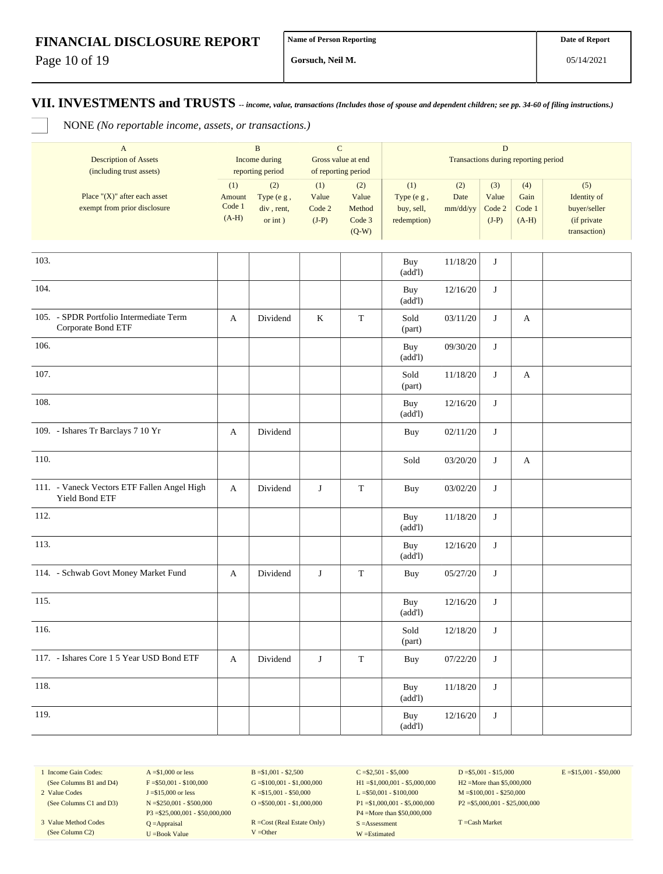Page 10 of 19

**Gorsuch, Neil M.**

**VII. INVESTMENTS and TRUSTS** *-- income, value, transactions (Includes those of spouse and dependent children; see pp. 34-60 of filing instructions.)*

NONE *(No reportable income, assets, or transactions.)*

|      | $\mathbf{A}$<br><b>Description of Assets</b><br>(including trust assets) | $\mathbf B$<br>Income during<br>reporting period |                                            | $\mathbf C$<br>Gross value at end<br>of reporting period |                                             | ${\bf D}$<br>Transactions during reporting period |                         |                                   |                                  |                                                                   |  |
|------|--------------------------------------------------------------------------|--------------------------------------------------|--------------------------------------------|----------------------------------------------------------|---------------------------------------------|---------------------------------------------------|-------------------------|-----------------------------------|----------------------------------|-------------------------------------------------------------------|--|
|      | Place " $(X)$ " after each asset<br>exempt from prior disclosure         | (1)<br>Amount<br>Code 1<br>$(A-H)$               | (2)<br>Type (e g,<br>div, rent,<br>or int) | (1)<br>Value<br>Code 2<br>$(J-P)$                        | (2)<br>Value<br>Method<br>Code 3<br>$(Q-W)$ | (1)<br>Type (e g,<br>buy, sell,<br>redemption)    | (2)<br>Date<br>mm/dd/yy | (3)<br>Value<br>Code 2<br>$(J-P)$ | (4)<br>Gain<br>Code 1<br>$(A-H)$ | (5)<br>Identity of<br>buyer/seller<br>(if private<br>transaction) |  |
| 103. |                                                                          |                                                  |                                            |                                                          |                                             | Buy                                               | 11/18/20                | J                                 |                                  |                                                                   |  |
| 104. |                                                                          |                                                  |                                            |                                                          |                                             | (add!)<br>Buy                                     | 12/16/20                | J                                 |                                  |                                                                   |  |
|      |                                                                          |                                                  |                                            |                                                          |                                             | (add!)                                            |                         |                                   |                                  |                                                                   |  |
|      | 105. - SPDR Portfolio Intermediate Term<br>Corporate Bond ETF            | A                                                | Dividend                                   | K                                                        | $\mathbf T$                                 | Sold<br>(part)                                    | 03/11/20                | J                                 | A                                |                                                                   |  |
| 106. |                                                                          |                                                  |                                            |                                                          |                                             | Buy<br>(add!)                                     | 09/30/20                | J                                 |                                  |                                                                   |  |
| 107. |                                                                          |                                                  |                                            |                                                          |                                             | Sold<br>(part)                                    | 11/18/20                | J                                 | A                                |                                                                   |  |
| 108. |                                                                          |                                                  |                                            |                                                          |                                             | Buy<br>(add!)                                     | 12/16/20                | $\bf J$                           |                                  |                                                                   |  |
|      | 109. - Ishares Tr Barclays 7 10 Yr                                       | A                                                | Dividend                                   |                                                          |                                             | <b>Buy</b>                                        | 02/11/20                | J                                 |                                  |                                                                   |  |
| 110. |                                                                          |                                                  |                                            |                                                          |                                             | Sold                                              | 03/20/20                | J                                 | A                                |                                                                   |  |
|      | 111. - Vaneck Vectors ETF Fallen Angel High<br>Yield Bond ETF            | A                                                | Dividend                                   | J                                                        | T                                           | Buy                                               | 03/02/20                | J                                 |                                  |                                                                   |  |
| 112. |                                                                          |                                                  |                                            |                                                          |                                             | Buy<br>(add!)                                     | 11/18/20                | J                                 |                                  |                                                                   |  |
| 113. |                                                                          |                                                  |                                            |                                                          |                                             | Buy<br>(add!)                                     | 12/16/20                | J                                 |                                  |                                                                   |  |
|      | 114. - Schwab Govt Money Market Fund                                     | A                                                | Dividend                                   | J                                                        | $\mathbf T$                                 | Buy                                               | 05/27/20                | J                                 |                                  |                                                                   |  |
| 115. |                                                                          |                                                  |                                            |                                                          |                                             | Buy<br>(add!)                                     | 12/16/20                | J                                 |                                  |                                                                   |  |
| 116. |                                                                          |                                                  |                                            |                                                          |                                             | Sold<br>(part)                                    | 12/18/20                | J                                 |                                  |                                                                   |  |
|      | 117. - Ishares Core 1 5 Year USD Bond ETF                                | A                                                | Dividend                                   | J                                                        | $\mathbf T$                                 | Buy                                               | 07/22/20                | J                                 |                                  |                                                                   |  |
| 118. |                                                                          |                                                  |                                            |                                                          |                                             | Buy<br>(add!)                                     | 11/18/20                | J                                 |                                  |                                                                   |  |
| 119. |                                                                          |                                                  |                                            |                                                          |                                             | Buy<br>(add!)                                     | 12/16/20                | J                                 |                                  |                                                                   |  |

1 Income Gain Codes: (See Columns B1 and D4) 2 Value Codes

(See Columns C1 and D3)

3 Value Method Codes (See Column C2)

 $A = $1,000$  or less  $F = $50,001 - $100,000$ J =\$15,000 or less N =\$250,001 - \$500,000 P3 =\$25,000,001 - \$50,000,000 Q =Appraisal U =Book Value

 $B = $1,001 - $2,500$  $G = $100,001 - $1,000,000$ K =\$15,001 - \$50,000 O =  $$500,001 - $1,000,000$ 

R =Cost (Real Estate Only) V =Other

 $C = $2,501 - $5,000$ H1 =\$1,000,001 - \$5,000,000 L =\$50,001 - \$100,000 P1 =\$1,000,001 - \$5,000,000 P4 =More than \$50,000,000 S =Assessment W =Estimated

 $D = $5,001 - $15,000$ H2 =More than \$5,000,000 M =\$100,001 - \$250,000 P2 =\$5,000,001 - \$25,000,000  $E = $15,001 - $50,000$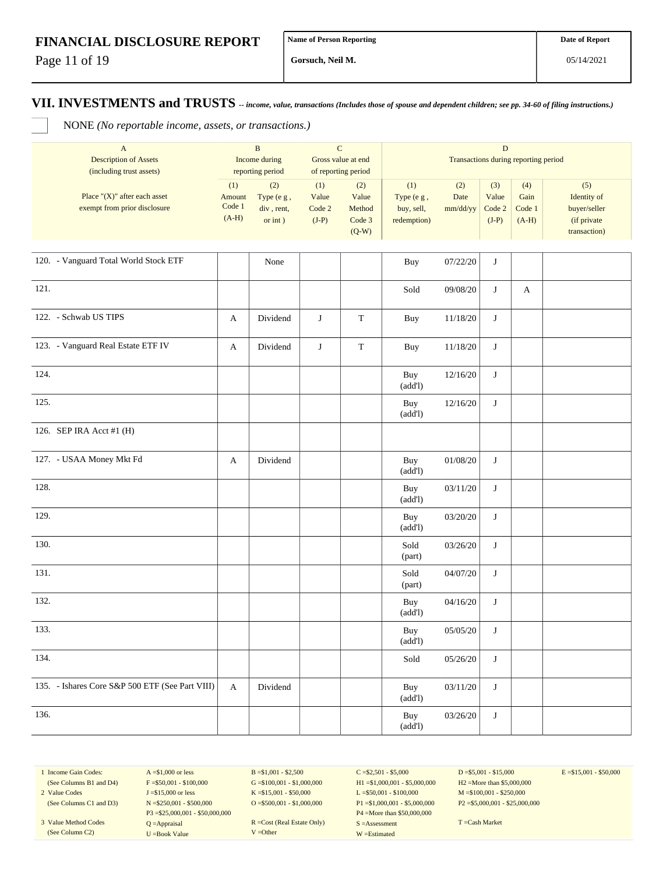Page 11 of 19

**Gorsuch, Neil M.**

## **VII. INVESTMENTS and TRUSTS** *-- income, value, transactions (Includes those of spouse and dependent children; see pp. 34-60 of filing instructions.)*

NONE *(No reportable income, assets, or transactions.)*

| $\overline{A}$<br><b>Description of Assets</b><br>(including trust assets) |                                    | B<br>Income during<br>reporting period       | $\mathbf C$<br>Gross value at end<br>of reporting period |                                             | D<br>Transactions during reporting period      |                                  |                         |                                  |                                                                    |  |  |
|----------------------------------------------------------------------------|------------------------------------|----------------------------------------------|----------------------------------------------------------|---------------------------------------------|------------------------------------------------|----------------------------------|-------------------------|----------------------------------|--------------------------------------------------------------------|--|--|
| Place " $(X)$ " after each asset<br>exempt from prior disclosure           | (1)<br>Amount<br>Code 1<br>$(A-H)$ | (2)<br>Type $(e g,$<br>div, rent,<br>or int) | (1)<br>Value<br>Code 2<br>$(J-P)$                        | (2)<br>Value<br>Method<br>Code 3<br>$(Q-W)$ | (1)<br>Type (e g,<br>buy, sell,<br>redemption) | (2)<br>Date<br>$mm/dd/yy$ Code 2 | (3)<br>Value<br>$(J-P)$ | (4)<br>Gain<br>Code 1<br>$(A-H)$ | (5)<br>Identity of<br>buyer/seller<br>(if private)<br>transaction) |  |  |
|                                                                            |                                    |                                              |                                                          |                                             |                                                |                                  |                         |                                  |                                                                    |  |  |
| - -<br>- -<br>---------<br>_______                                         |                                    |                                              |                                                          |                                             |                                                |                                  |                         |                                  |                                                                    |  |  |

| 120. - Vanguard Total World Stock ETF           |                       | None     |   |             | Buy            | 07/22/20 | J       |              |  |
|-------------------------------------------------|-----------------------|----------|---|-------------|----------------|----------|---------|--------------|--|
| 121.                                            |                       |          |   |             | Sold           | 09/08/20 | J       | $\mathbf{A}$ |  |
| 122. - Schwab US TIPS                           | $\mathbf{A}$          | Dividend | J | $\mathbf T$ | Buy            | 11/18/20 | J       |              |  |
| 123. - Vanguard Real Estate ETF IV              | $\mathbf{A}$          | Dividend | J | $\mathbf T$ | Buy            | 11/18/20 | J       |              |  |
| 124.                                            |                       |          |   |             | Buy<br>(add!)  | 12/16/20 | $\bf J$ |              |  |
| 125.                                            |                       |          |   |             | Buy<br>(add!)  | 12/16/20 | J       |              |  |
| 126. SEP IRA Acct #1 (H)                        |                       |          |   |             |                |          |         |              |  |
| 127. - USAA Money Mkt Fd                        | $\mathbf{A}$          | Dividend |   |             | Buy<br>(add!)  | 01/08/20 | J       |              |  |
| 128.                                            |                       |          |   |             | Buy<br>(add!)  | 03/11/20 | J       |              |  |
| 129.                                            |                       |          |   |             | Buy<br>(add!)  | 03/20/20 | J       |              |  |
| 130.                                            |                       |          |   |             | Sold<br>(part) | 03/26/20 | J       |              |  |
| 131.                                            |                       |          |   |             | Sold<br>(part) | 04/07/20 | J       |              |  |
| 132.                                            |                       |          |   |             | Buy<br>(add!)  | 04/16/20 | J       |              |  |
| 133.                                            |                       |          |   |             | Buy<br>(add!)  | 05/05/20 | J       |              |  |
| 134.                                            |                       |          |   |             | Sold           | 05/26/20 | J       |              |  |
| 135. - Ishares Core S&P 500 ETF (See Part VIII) | $\boldsymbol{\rm{A}}$ | Dividend |   |             | Buy<br>(add!)  | 03/11/20 | J       |              |  |
| 136.                                            |                       |          |   |             | Buy<br>(add!)  | 03/26/20 | J       |              |  |

1 Income Gain Codes: (See Columns B1 and D4)

2 Value Codes (See Columns C1 and D3)

3 Value Method Codes (See Column C2)

 $A = $1,000$  or less  $F = $50,001 - $100,000$ J =\$15,000 or less N =\$250,001 - \$500,000 P3 =\$25,000,001 - \$50,000,000 Q =Appraisal U =Book Value

 $B = $1,001 - $2,500$  $G = $100,001 - $1,000,000$ K =\$15,001 - \$50,000 O =\$500,001 - \$1,000,000

R =Cost (Real Estate Only) V =Other

 $C = $2,501 - $5,000$ H1 =\$1,000,001 - \$5,000,000 L =\$50,001 - \$100,000 P1 =\$1,000,001 - \$5,000,000 P4 =More than \$50,000,000 S =Assessment W =Estimated

 $D = $5,001 - $15,000$ H2 =More than \$5,000,000 M =\$100,001 - \$250,000 P2 =\$5,000,001 - \$25,000,000  $E = $15,001 - $50,000$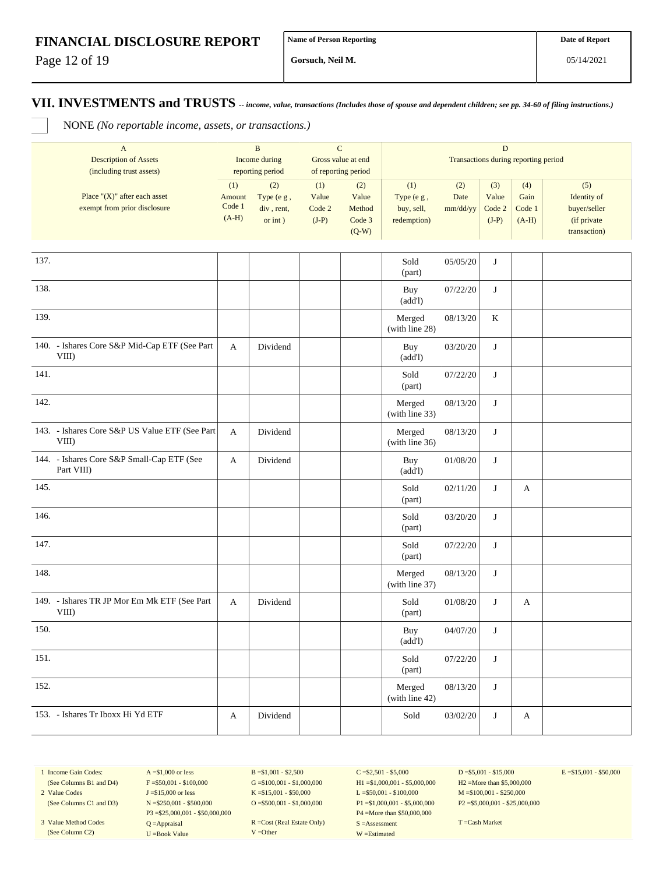Page 12 of 19

**Gorsuch, Neil M.**

#### **VII. INVESTMENTS and TRUSTS** *-- income, value, transactions (Includes those of spouse and dependent children; see pp. 34-60 of filing instructions.)*

NONE *(No reportable income, assets, or transactions.)*

|      | $\boldsymbol{\mathsf{A}}$                                        |                                    | $\mathbf B$                                |                                   | $\mathbf C$                      |                                                | ${\bf D}$               |                                   |                                  |                                                   |  |
|------|------------------------------------------------------------------|------------------------------------|--------------------------------------------|-----------------------------------|----------------------------------|------------------------------------------------|-------------------------|-----------------------------------|----------------------------------|---------------------------------------------------|--|
|      | <b>Description of Assets</b>                                     |                                    | Income during                              |                                   | Gross value at end               | Transactions during reporting period           |                         |                                   |                                  |                                                   |  |
|      | (including trust assets)                                         |                                    | reporting period                           |                                   | of reporting period              |                                                |                         |                                   |                                  |                                                   |  |
|      | Place " $(X)$ " after each asset<br>exempt from prior disclosure | (1)<br>Amount<br>Code 1<br>$(A-H)$ | (2)<br>Type (e g,<br>div, rent,<br>or int) | (1)<br>Value<br>Code 2<br>$(J-P)$ | (2)<br>Value<br>Method<br>Code 3 | (1)<br>Type (e g,<br>buy, sell,<br>redemption) | (2)<br>Date<br>mm/dd/yy | (3)<br>Value<br>Code 2<br>$(J-P)$ | (4)<br>Gain<br>Code 1<br>$(A-H)$ | (5)<br>Identity of<br>buyer/seller<br>(if private |  |
|      |                                                                  |                                    |                                            |                                   | $(Q-W)$                          |                                                |                         |                                   |                                  | transaction)                                      |  |
|      |                                                                  |                                    |                                            |                                   |                                  |                                                |                         |                                   |                                  |                                                   |  |
| 137. |                                                                  |                                    |                                            |                                   |                                  | Sold<br>(part)                                 | 05/05/20                | J                                 |                                  |                                                   |  |
| 138. |                                                                  |                                    |                                            |                                   |                                  | Buy<br>(add!)                                  | 07/22/20                | J                                 |                                  |                                                   |  |
| 139. |                                                                  |                                    |                                            |                                   |                                  | Merged<br>(with line 28)                       | 08/13/20                | K                                 |                                  |                                                   |  |
|      | 140. - Ishares Core S&P Mid-Cap ETF (See Part<br>VIII)           | A                                  | Dividend                                   |                                   |                                  | Buy<br>(add!)                                  | 03/20/20                | J                                 |                                  |                                                   |  |
| 141. |                                                                  |                                    |                                            |                                   |                                  | Sold<br>(part)                                 | 07/22/20                | J                                 |                                  |                                                   |  |
| 142. |                                                                  |                                    |                                            |                                   |                                  | Merged<br>(with line 33)                       | 08/13/20                | $\bf J$                           |                                  |                                                   |  |
|      | 143. - Ishares Core S&P US Value ETF (See Part<br>VIII)          | A                                  | Dividend                                   |                                   |                                  | Merged<br>(with line 36)                       | 08/13/20                | J                                 |                                  |                                                   |  |
|      | 144. - Ishares Core S&P Small-Cap ETF (See<br>Part VIII)         | A                                  | Dividend                                   |                                   |                                  | Buy<br>(add!)                                  | 01/08/20                | J                                 |                                  |                                                   |  |
| 145. |                                                                  |                                    |                                            |                                   |                                  | Sold<br>(part)                                 | 02/11/20                | J                                 | A                                |                                                   |  |
| 146. |                                                                  |                                    |                                            |                                   |                                  | Sold<br>(part)                                 | 03/20/20                | $\bf J$                           |                                  |                                                   |  |
| 147. |                                                                  |                                    |                                            |                                   |                                  | Sold<br>(part)                                 | 07/22/20                | J                                 |                                  |                                                   |  |
| 148. |                                                                  |                                    |                                            |                                   |                                  | Merged<br>(with line 37)                       | 08/13/20                | J                                 |                                  |                                                   |  |
|      | 149. - Ishares TR JP Mor Em Mk ETF (See Part<br>VIII)            | A                                  | Dividend                                   |                                   |                                  | Sold<br>(part)                                 | 01/08/20                | J                                 | А                                |                                                   |  |
| 150. |                                                                  |                                    |                                            |                                   |                                  | Buy<br>(add!)                                  | 04/07/20                | J                                 |                                  |                                                   |  |
| 151. |                                                                  |                                    |                                            |                                   |                                  | Sold<br>(part)                                 | 07/22/20                | J                                 |                                  |                                                   |  |
| 152. |                                                                  |                                    |                                            |                                   |                                  | Merged<br>(with line 42)                       | 08/13/20                | J                                 |                                  |                                                   |  |
|      | 153. - Ishares Tr Iboxx Hi Yd ETF                                | A                                  | Dividend                                   |                                   |                                  | Sold                                           | 03/02/20                | $\bf J$                           | A                                |                                                   |  |

1 Income Gain Codes: (See Columns B1 and D4)

2 Value Codes (See Columns C1 and D3)

3 Value Method Codes (See Column C2)

 $A = $1,000$  or less  $F = $50,001 - $100,000$ J =\$15,000 or less N =\$250,001 - \$500,000 P3 =\$25,000,001 - \$50,000,000 Q =Appraisal U =Book Value

 $B = $1,001 - $2,500$  $G = $100,001 - $1,000,000$ K =\$15,001 - \$50,000 O =  $$500,001 - $1,000,000$ 

R =Cost (Real Estate Only) V =Other

 $C = $2,501 - $5,000$ H1 =\$1,000,001 - \$5,000,000 L =\$50,001 - \$100,000 P1 =\$1,000,001 - \$5,000,000 P4 =More than \$50,000,000 S =Assessment W =Estimated

 $D = $5,001 - $15,000$ H2 =More than \$5,000,000 M =\$100,001 - \$250,000 P2 =\$5,000,001 - \$25,000,000  $E = $15,001 - $50,000$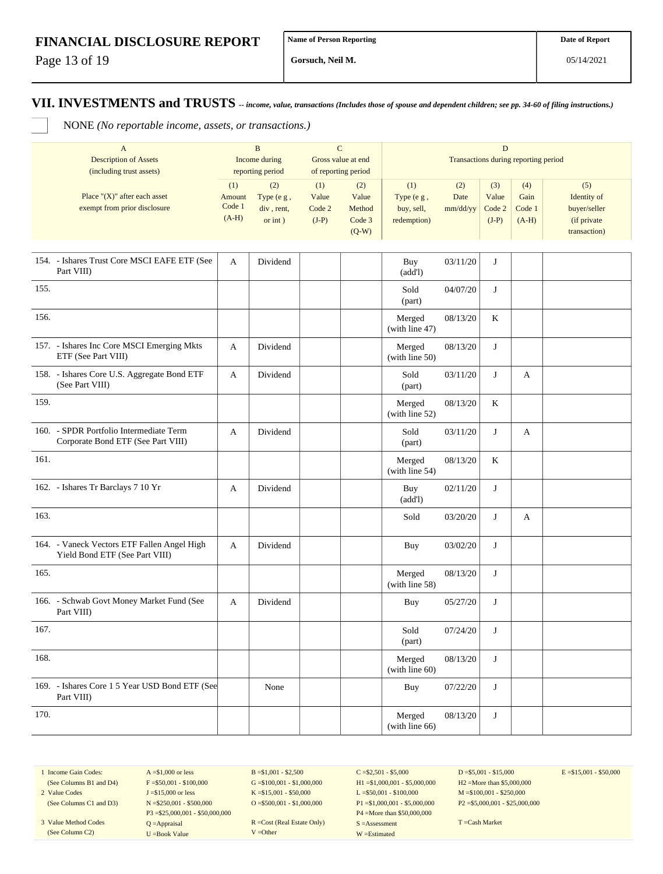Page 13 of 19

**Gorsuch, Neil M.**

05/14/2021

## **VII. INVESTMENTS and TRUSTS** *-- income, value, transactions (Includes those of spouse and dependent children; see pp. 34-60 of filing instructions.)*

NONE *(No reportable income, assets, or transactions.)*

| A                                |                    | B            |                    |                     | D            |                                             |         |              |              |  |  |  |  |
|----------------------------------|--------------------|--------------|--------------------|---------------------|--------------|---------------------------------------------|---------|--------------|--------------|--|--|--|--|
| <b>Description of Assets</b>     | Income during      |              | Gross value at end |                     |              | <b>Transactions during reporting period</b> |         |              |              |  |  |  |  |
| (including trust assets)         | reporting period   |              |                    | of reporting period |              |                                             |         |              |              |  |  |  |  |
|                                  | (1)                | (2)          | (1)                | (2)                 | (1)          | (2)                                         | (3)     | (4)          | (5)          |  |  |  |  |
| Place " $(X)$ " after each asset | Amount             | Type $(e g,$ | Value              | Value               | Type $(e g,$ | Date                                        | Value   | Gain         | Identity of  |  |  |  |  |
| exempt from prior disclosure     | Code 1             | div, rent,   | Code 2             | Method              | buy, sell,   | mm/dd/yy                                    | Code 2  | Code 1       | buyer/seller |  |  |  |  |
|                                  | $(A-H)$<br>or int) | $(J-P)$      | Code 3             | redemption)         |              | $(J-P)$                                     | $(A-H)$ | (if private) |              |  |  |  |  |
|                                  |                    |              |                    | $(Q-W)$             |              |                                             |         |              | transaction) |  |  |  |  |

| 154. - Ishares Trust Core MSCI EAFE ETF (See<br>Part VIII)                    | A | Dividend | Buy<br>(add!)               | 03/11/20 | J |   |  |
|-------------------------------------------------------------------------------|---|----------|-----------------------------|----------|---|---|--|
| 155.                                                                          |   |          | Sold<br>(part)              | 04/07/20 | J |   |  |
| 156.                                                                          |   |          | Merged<br>(with line 47)    | 08/13/20 | K |   |  |
| 157. - Ishares Inc Core MSCI Emerging Mkts<br>ETF (See Part VIII)             | A | Dividend | Merged<br>(with line 50)    | 08/13/20 | J |   |  |
| 158. - Ishares Core U.S. Aggregate Bond ETF<br>(See Part VIII)                | A | Dividend | Sold<br>(part)              | 03/11/20 | J | A |  |
| 159.                                                                          |   |          | Merged<br>(with line 52)    | 08/13/20 | K |   |  |
| 160. - SPDR Portfolio Intermediate Term<br>Corporate Bond ETF (See Part VIII) | A | Dividend | Sold<br>(part)              | 03/11/20 | J | A |  |
| 161.                                                                          |   |          | Merged<br>(with line 54)    | 08/13/20 | K |   |  |
| 162. - Ishares Tr Barclays 7 10 Yr                                            | A | Dividend | Buy<br>(add!)               | 02/11/20 | J |   |  |
| 163.                                                                          |   |          | Sold                        | 03/20/20 | J | A |  |
| 164. - Vaneck Vectors ETF Fallen Angel High<br>Yield Bond ETF (See Part VIII) | A | Dividend | Buy                         | 03/02/20 | J |   |  |
| 165.                                                                          |   |          | Merged<br>(with line 58)    | 08/13/20 | J |   |  |
| 166. - Schwab Govt Money Market Fund (See<br>Part VIII)                       | A | Dividend | <b>Buy</b>                  | 05/27/20 | J |   |  |
| 167.                                                                          |   |          | Sold<br>(part)              | 07/24/20 | J |   |  |
| 168.                                                                          |   |          | Merged<br>(with line $60$ ) | 08/13/20 | J |   |  |
| 169. - Ishares Core 1 5 Year USD Bond ETF (See<br>Part VIII)                  |   | None     | <b>Buy</b>                  | 07/22/20 | J |   |  |
| 170.                                                                          |   |          | Merged<br>(with line 66)    | 08/13/20 | J |   |  |

1 Income Gain Codes: (See Columns B1 and D4) 2 Value Codes

(See Columns C1 and D3)

3 Value Method Codes (See Column C2)

 $A = $1,000$  or less  $F = $50,001 - $100,000$ J =\$15,000 or less N =\$250,001 - \$500,000 P3 =\$25,000,001 - \$50,000,000 Q =Appraisal U =Book Value

 $B = $1,001 - $2,500$  $G = $100,001 - $1,000,000$ K =\$15,001 - \$50,000 O =  $$500,001 - $1,000,000$ 

R =Cost (Real Estate Only) V =Other

 $C = $2,501 - $5,000$ H1 =\$1,000,001 - \$5,000,000 L =\$50,001 - \$100,000 P1 =\$1,000,001 - \$5,000,000 P4 =More than \$50,000,000 S =Assessment W =Estimated

 $D = $5,001 - $15,000$ H2 =More than \$5,000,000 M =\$100,001 - \$250,000 P2 =\$5,000,001 - \$25,000,000  $E = $15,001 - $50,000$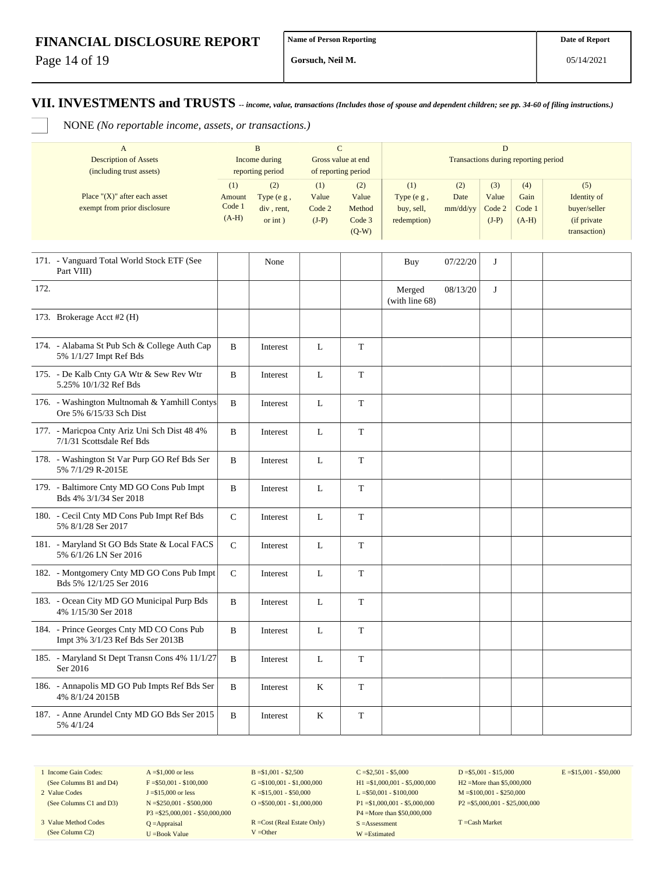Page 14 of 19

**Gorsuch, Neil M.**

## **VII. INVESTMENTS and TRUSTS** *-- income, value, transactions (Includes those of spouse and dependent children; see pp. 34-60 of filing instructions.)*

NONE *(No reportable income, assets, or transactions.)*

| A                                |                         | <sub>B</sub>  |         |                     | D                                    |          |         |              |              |  |  |  |
|----------------------------------|-------------------------|---------------|---------|---------------------|--------------------------------------|----------|---------|--------------|--------------|--|--|--|
| <b>Description of Assets</b>     |                         | Income during |         | Gross value at end  | Transactions during reporting period |          |         |              |              |  |  |  |
| (including trust assets)         | reporting period        |               |         | of reporting period |                                      |          |         |              |              |  |  |  |
|                                  | (1)                     | (2)           | (1)     | (2)                 | (1)                                  | (2)      | (3)     | (4)          | (5)          |  |  |  |
| Place " $(X)$ " after each asset | Amount                  | Type $(e g,$  | Value   | Value               | Type (e g,                           | Date     | Value   | Gain         | Identity of  |  |  |  |
| exempt from prior disclosure     | Code 1                  | div, rent,    | Code 2  | Method              | buy, sell,                           | mm/dd/yy | Code 2  | Code 1       | buyer/seller |  |  |  |
|                                  | $(A-H)$<br>$or$ int $)$ |               | $(J-P)$ | Code 3              | redemption)                          |          | $(J-P)$ | $(A-H)$      | (if private) |  |  |  |
|                                  |                         |               | $(Q-W)$ |                     |                                      |          |         | transaction) |              |  |  |  |

|      | 171. - Vanguard Total World Stock ETF (See<br>Part VIII)                      |              | None     |   |             | Buy                      | 07/22/20 | J |  |
|------|-------------------------------------------------------------------------------|--------------|----------|---|-------------|--------------------------|----------|---|--|
| 172. |                                                                               |              |          |   |             | Merged<br>(with line 68) | 08/13/20 | J |  |
|      | 173. Brokerage Acct #2 (H)                                                    |              |          |   |             |                          |          |   |  |
|      | 174. - Alabama St Pub Sch & College Auth Cap<br>5% 1/1/27 Impt Ref Bds        | B            | Interest | L | T           |                          |          |   |  |
|      | 175. - De Kalb Cnty GA Wtr & Sew Rev Wtr<br>5.25% 10/1/32 Ref Bds             | B            | Interest | L | $\mathbf T$ |                          |          |   |  |
|      | 176. - Washington Multnomah & Yamhill Contys<br>Ore 5% 6/15/33 Sch Dist       | B            | Interest | L | T           |                          |          |   |  |
|      | 177. - Maricpoa Cnty Ariz Uni Sch Dist 48 4%<br>7/1/31 Scottsdale Ref Bds     | B            | Interest | L | $\mathbf T$ |                          |          |   |  |
|      | 178. - Washington St Var Purp GO Ref Bds Ser<br>5% 7/1/29 R-2015E             | B            | Interest | L | T           |                          |          |   |  |
|      | 179. - Baltimore Cnty MD GO Cons Pub Impt<br>Bds 4% 3/1/34 Ser 2018           | B            | Interest | L | T           |                          |          |   |  |
|      | 180. - Cecil Cnty MD Cons Pub Impt Ref Bds<br>5% 8/1/28 Ser 2017              | $\mathsf{C}$ | Interest | L | T           |                          |          |   |  |
|      | 181. - Maryland St GO Bds State & Local FACS<br>5% 6/1/26 LN Ser 2016         | $\mathbf C$  | Interest | L | $\mathbf T$ |                          |          |   |  |
|      | 182. - Montgomery Cnty MD GO Cons Pub Impt<br>Bds 5% 12/1/25 Ser 2016         | $\mathsf{C}$ | Interest | L | T           |                          |          |   |  |
|      | 183. - Ocean City MD GO Municipal Purp Bds<br>4% 1/15/30 Ser 2018             | B            | Interest | L | $\mathbf T$ |                          |          |   |  |
|      | 184. - Prince Georges Cnty MD CO Cons Pub<br>Impt 3% 3/1/23 Ref Bds Ser 2013B | B            | Interest | L | T           |                          |          |   |  |
|      | 185. - Maryland St Dept Transn Cons 4% 11/1/27<br>Ser 2016                    | B            | Interest | L | T           |                          |          |   |  |
|      | 186. - Annapolis MD GO Pub Impts Ref Bds Ser<br>4% 8/1/24 2015B               | B            | Interest | K | T           |                          |          |   |  |
|      | 187. - Anne Arundel Cnty MD GO Bds Ser 2015<br>5% 4/1/24                      | B            | Interest | K | T           |                          |          |   |  |

1 Income Gain Codes: (See Columns B1 and D4)

2 Value Codes (See Columns C1 and D3)

3 Value Method Codes (See Column C2)

 $F = $50,001 - $100,000$ J =\$15,000 or less N =\$250,001 - \$500,000 P3 =\$25,000,001 - \$50,000,000 Q =Appraisal U =Book Value

 $A = $1,000$  or less

 $B = $1,001 - $2,500$  $G = $100,001 - $1,000,000$ K =\$15,001 - \$50,000  $O = $500,001 - $1,000,000$ 

R =Cost (Real Estate Only) V =Other

 $C = $2,501 - $5,000$ H1 =\$1,000,001 - \$5,000,000 L =\$50,001 - \$100,000 P1 =\$1,000,001 - \$5,000,000 P4 =More than \$50,000,000 S =Assessment W =Estimated

 $D = $5,001 - $15,000$ H2 =More than \$5,000,000 M =\$100,001 - \$250,000 P2 =\$5,000,001 - \$25,000,000  $E = $15,001 - $50,000$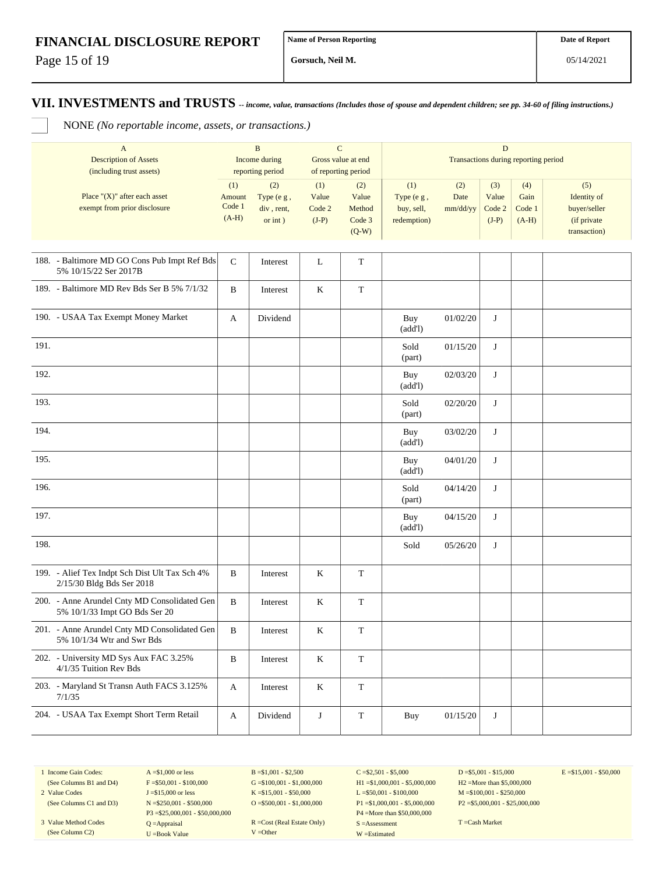Page 15 of 19

**Gorsuch, Neil M.**

NONE *(No reportable income, assets, or transactions.)*

| $\mathbf{A}$<br><b>Description of Assets</b><br>(including trust assets)      |                                    | $\, {\bf B}$<br>Income during<br>reporting period | $\mathbf C$<br>Gross value at end<br>of reporting period |                                             | $\mathbf D$<br>Transactions during reporting period |                         |                                   |                                  |                                                                   |  |
|-------------------------------------------------------------------------------|------------------------------------|---------------------------------------------------|----------------------------------------------------------|---------------------------------------------|-----------------------------------------------------|-------------------------|-----------------------------------|----------------------------------|-------------------------------------------------------------------|--|
| Place " $(X)$ " after each asset<br>exempt from prior disclosure              | (1)<br>Amount<br>Code 1<br>$(A-H)$ | (2)<br>Type (e g,<br>div, rent,<br>$or$ int $)$   | (1)<br>Value<br>Code 2<br>$(J-P)$                        | (2)<br>Value<br>Method<br>Code 3<br>$(Q-W)$ | (1)<br>Type (e g,<br>buy, sell,<br>redemption)      | (2)<br>Date<br>mm/dd/yy | (3)<br>Value<br>Code 2<br>$(J-P)$ | (4)<br>Gain<br>Code 1<br>$(A-H)$ | (5)<br>Identity of<br>buyer/seller<br>(if private<br>transaction) |  |
| 188. - Baltimore MD GO Cons Pub Impt Ref Bds<br>5% 10/15/22 Ser 2017B         | ${\bf C}$                          | Interest                                          | L                                                        | T                                           |                                                     |                         |                                   |                                  |                                                                   |  |
| 189. - Baltimore MD Rev Bds Ser B 5% 7/1/32                                   | B                                  | Interest                                          | $\,$ K                                                   | $\mathbf T$                                 |                                                     |                         |                                   |                                  |                                                                   |  |
| 190. - USAA Tax Exempt Money Market                                           | A                                  | Dividend                                          |                                                          |                                             | Buy<br>(add!)                                       | 01/02/20                | J                                 |                                  |                                                                   |  |
| 191.                                                                          |                                    |                                                   |                                                          |                                             | Sold<br>(part)                                      | 01/15/20                | J                                 |                                  |                                                                   |  |
| 192.                                                                          |                                    |                                                   |                                                          |                                             | Buy<br>(add!)                                       | 02/03/20                | J                                 |                                  |                                                                   |  |
| 193.                                                                          |                                    |                                                   |                                                          |                                             | Sold<br>(part)                                      | 02/20/20                | J                                 |                                  |                                                                   |  |
| 194.                                                                          |                                    |                                                   |                                                          |                                             | Buy<br>(add!)                                       | 03/02/20                | J                                 |                                  |                                                                   |  |
| 195.                                                                          |                                    |                                                   |                                                          |                                             | Buy<br>(add!)                                       | 04/01/20                | J                                 |                                  |                                                                   |  |
| 196.                                                                          |                                    |                                                   |                                                          |                                             | Sold<br>(part)                                      | 04/14/20                | J                                 |                                  |                                                                   |  |
| 197.                                                                          |                                    |                                                   |                                                          |                                             | Buy<br>(add!)                                       | 04/15/20                | J                                 |                                  |                                                                   |  |
| 198.                                                                          |                                    |                                                   |                                                          |                                             | Sold                                                | 05/26/20                | J                                 |                                  |                                                                   |  |
| 199. - Alief Tex Indpt Sch Dist Ult Tax Sch 4%<br>2/15/30 Bldg Bds Ser 2018   | B                                  | Interest                                          | $\rm K$                                                  | $\mathbf T$                                 |                                                     |                         |                                   |                                  |                                                                   |  |
| 200. - Anne Arundel Cnty MD Consolidated Gen<br>5% 10/1/33 Impt GO Bds Ser 20 | $\, {\bf B}$                       | Interest                                          | $\rm K$                                                  | $\mathbf T$                                 |                                                     |                         |                                   |                                  |                                                                   |  |
| 201. - Anne Arundel Cnty MD Consolidated Gen<br>5% 10/1/34 Wtr and Swr Bds    | $\, {\bf B}$                       | Interest                                          | $\rm K$                                                  | $\mathbf T$                                 |                                                     |                         |                                   |                                  |                                                                   |  |
| 202. - University MD Sys Aux FAC 3.25%<br>4/1/35 Tuition Rev Bds              | B                                  | Interest                                          | $\bf K$                                                  | $\mathbf T$                                 |                                                     |                         |                                   |                                  |                                                                   |  |
| 203. - Maryland St Transn Auth FACS 3.125%<br>7/1/35                          | A                                  | Interest                                          | $\bf K$                                                  | $\mathbf T$                                 |                                                     |                         |                                   |                                  |                                                                   |  |
| 204. - USAA Tax Exempt Short Term Retail                                      | A                                  | Dividend                                          | $\bf J$                                                  | $\mathbf T$                                 | Buy                                                 | 01/15/20                | J                                 |                                  |                                                                   |  |

1 Income Gain Codes: (See Columns B1 and D4)

2 Value Codes (See Columns C1 and D3)

3 Value Method Codes (See Column C2)

 $A = $1,000$  or less  $F = $50,001 - $100,000$ J =\$15,000 or less N =\$250,001 - \$500,000 P3 =\$25,000,001 - \$50,000,000 Q =Appraisal U =Book Value

 $B = $1,001 - $2,500$  $G = $100,001 - $1,000,000$ K =\$15,001 - \$50,000 O =  $$500,001 - $1,000,000$ 

R =Cost (Real Estate Only) V =Other

 $C = $2,501 - $5,000$ H1 =\$1,000,001 - \$5,000,000 L =\$50,001 - \$100,000 P1 =\$1,000,001 - \$5,000,000 P4 =More than \$50,000,000 S =Assessment W =Estimated

 $D = $5,001 - $15,000$ H2 =More than \$5,000,000 M =\$100,001 - \$250,000 P2 =\$5,000,001 - \$25,000,000  $E = $15,001 - $50,000$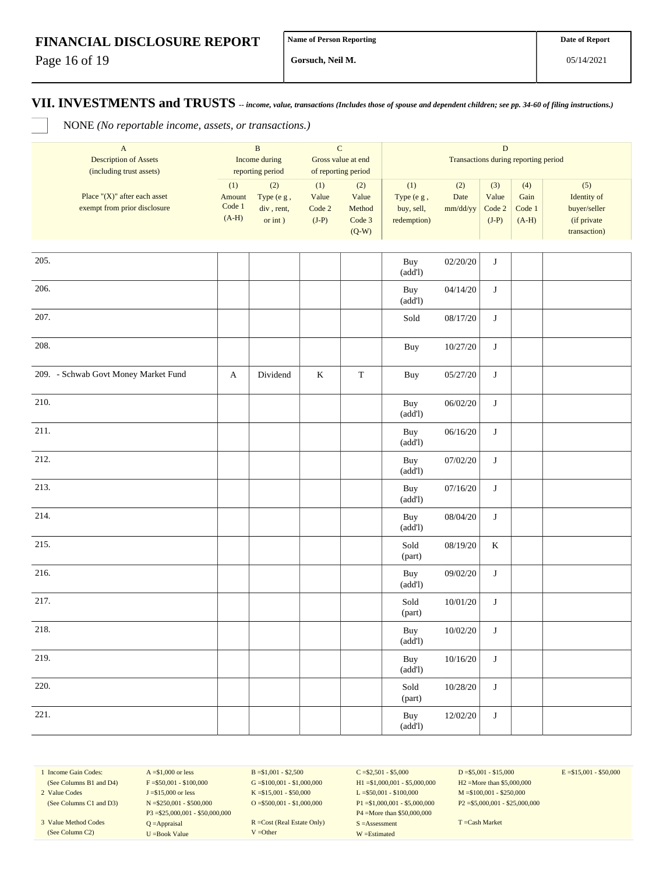Page 16 of 19

**Gorsuch, Neil M.**

**VII. INVESTMENTS and TRUSTS** *-- income, value, transactions (Includes those of spouse and dependent children; see pp. 34-60 of filing instructions.)*

NONE *(No reportable income, assets, or transactions.)*

| $\boldsymbol{\mathsf{A}}$<br><b>Description of Assets</b><br>(including trust assets) | $\, {\bf B}$<br>Income during<br>reporting period |                                               | ${\bf C}$<br>Gross value at end<br>of reporting period |                                             | $\mathbf D$<br>Transactions during reporting period |                         |                                   |                                  |                                                                   |  |
|---------------------------------------------------------------------------------------|---------------------------------------------------|-----------------------------------------------|--------------------------------------------------------|---------------------------------------------|-----------------------------------------------------|-------------------------|-----------------------------------|----------------------------------|-------------------------------------------------------------------|--|
| Place " $(X)$ " after each asset<br>exempt from prior disclosure                      | (1)<br>Amount<br>$\mbox{Code}~1$<br>$(A-H)$       | (2)<br>Type (e g,<br>div, rent,<br>or $int$ ) | (1)<br>Value<br>Code 2<br>$(J-P)$                      | (2)<br>Value<br>Method<br>Code 3<br>$(Q-W)$ | (1)<br>Type (e g,<br>buy, sell,<br>redemption)      | (2)<br>Date<br>mm/dd/yy | (3)<br>Value<br>Code 2<br>$(J-P)$ | (4)<br>Gain<br>Code 1<br>$(A-H)$ | (5)<br>Identity of<br>buyer/seller<br>(if private<br>transaction) |  |
| 205.                                                                                  |                                                   |                                               |                                                        |                                             | Buy<br>(add!)                                       | 02/20/20                | $\bf J$                           |                                  |                                                                   |  |
| 206.                                                                                  |                                                   |                                               |                                                        |                                             | Buy<br>(add!)                                       | 04/14/20                | $\bf J$                           |                                  |                                                                   |  |
| 207.                                                                                  |                                                   |                                               |                                                        |                                             | Sold                                                | 08/17/20                | $\bf J$                           |                                  |                                                                   |  |
| 208.                                                                                  |                                                   |                                               |                                                        |                                             | Buy                                                 | 10/27/20                | $\bf J$                           |                                  |                                                                   |  |
| 209. - Schwab Govt Money Market Fund                                                  | A                                                 | Dividend                                      | $\bf K$                                                | $\mathbf T$                                 | Buy                                                 | 05/27/20                | $\bf J$                           |                                  |                                                                   |  |
| 210.                                                                                  |                                                   |                                               |                                                        |                                             | Buy<br>(add!)                                       | 06/02/20                | $\bf J$                           |                                  |                                                                   |  |
| 211.                                                                                  |                                                   |                                               |                                                        |                                             | Buy<br>(add!)                                       | 06/16/20                | $\bf J$                           |                                  |                                                                   |  |
| 212.                                                                                  |                                                   |                                               |                                                        |                                             | Buy<br>(add!)                                       | 07/02/20                | $\bf J$                           |                                  |                                                                   |  |
| 213.                                                                                  |                                                   |                                               |                                                        |                                             | Buy<br>(add!)                                       | 07/16/20                | $\bf J$                           |                                  |                                                                   |  |
| 214.                                                                                  |                                                   |                                               |                                                        |                                             | Buy<br>(add!)                                       | 08/04/20                | $\bf J$                           |                                  |                                                                   |  |
| 215.                                                                                  |                                                   |                                               |                                                        |                                             | Sold<br>(part)                                      | 08/19/20                | $\bf K$                           |                                  |                                                                   |  |
| 216.                                                                                  |                                                   |                                               |                                                        |                                             | Buy<br>(add!)                                       | 09/02/20                | $\bf J$                           |                                  |                                                                   |  |
| 217.                                                                                  |                                                   |                                               |                                                        |                                             | Sold<br>(part)                                      | 10/01/20                | $\bf J$                           |                                  |                                                                   |  |
| 218.                                                                                  |                                                   |                                               |                                                        |                                             | Buy<br>(add!)                                       | 10/02/20                | $\bf J$                           |                                  |                                                                   |  |
| 219.                                                                                  |                                                   |                                               |                                                        |                                             | Buy<br>(add!)                                       | 10/16/20                | $\bf J$                           |                                  |                                                                   |  |
| 220.                                                                                  |                                                   |                                               |                                                        |                                             | Sold<br>(part)                                      | 10/28/20                | $\bf J$                           |                                  |                                                                   |  |
| 221.                                                                                  |                                                   |                                               |                                                        |                                             | Buy<br>(add!)                                       | 12/02/20                | $\bf J$                           |                                  |                                                                   |  |

1 Income Gain Codes: (See Columns B1 and D4)

2 Value Codes (See Columns C1 and D3)

3 Value Method Codes (See Column C2)

 $A = $1,000$  or less  $F = $50,001 - $100,000$ J =\$15,000 or less N =\$250,001 - \$500,000 P3 =\$25,000,001 - \$50,000,000 Q =Appraisal U =Book Value

 $B = $1,001 - $2,500$  $G = $100,001 - $1,000,000$ K =\$15,001 - \$50,000  $O = $500,001 - $1,000,000$ 

R =Cost (Real Estate Only) V =Other

 $C = $2,501 - $5,000$ H1 =\$1,000,001 - \$5,000,000 L =\$50,001 - \$100,000 P1 =\$1,000,001 - \$5,000,000 P4 =More than \$50,000,000 S =Assessment W =Estimated

 $D = $5,001 - $15,000$ H2 =More than \$5,000,000 M =\$100,001 - \$250,000 P2 =\$5,000,001 - \$25,000,000  $E = $15,001 - $50,000$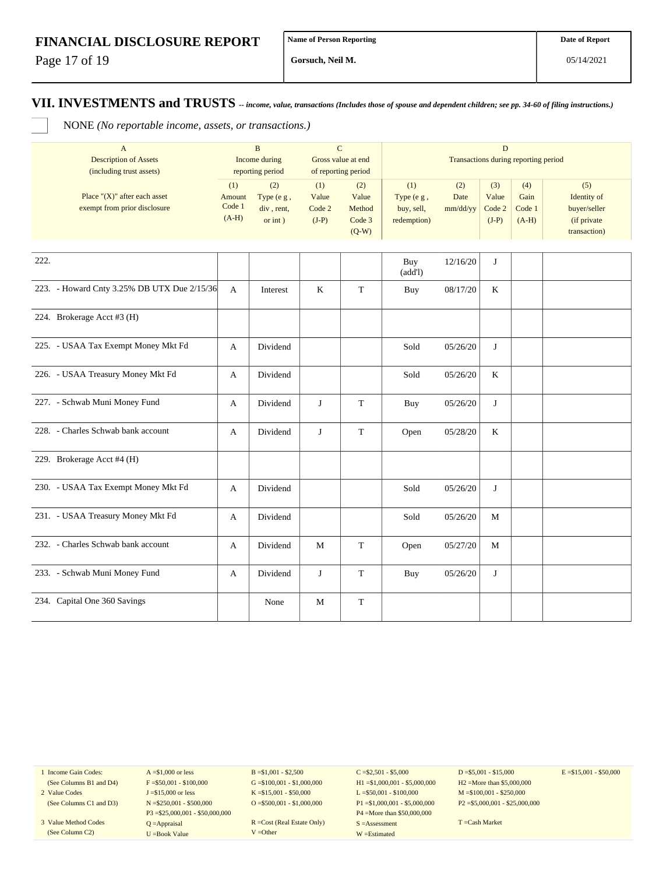Page 17 of 19

**Gorsuch, Neil M.**

**VII. INVESTMENTS and TRUSTS** *-- income, value, transactions (Includes those of spouse and dependent children; see pp. 34-60 of filing instructions.)*

NONE *(No reportable income, assets, or transactions.)*

| $\mathbf{A}$<br><b>Description of Assets</b>                     | $\, {\bf B}$<br>$\mathbf C$<br>Income during<br>Gross value at end |                                                 |                                   |                                             | D<br>Transactions during reporting period      |                         |                                   |                                  |                                                                   |  |  |  |
|------------------------------------------------------------------|--------------------------------------------------------------------|-------------------------------------------------|-----------------------------------|---------------------------------------------|------------------------------------------------|-------------------------|-----------------------------------|----------------------------------|-------------------------------------------------------------------|--|--|--|
| (including trust assets)                                         |                                                                    | reporting period                                | of reporting period               |                                             |                                                |                         |                                   |                                  |                                                                   |  |  |  |
| Place " $(X)$ " after each asset<br>exempt from prior disclosure | (1)<br>Amount<br>Code 1<br>$(A-H)$                                 | (2)<br>Type (e g,<br>div, rent,<br>$or$ int $)$ | (1)<br>Value<br>Code 2<br>$(J-P)$ | (2)<br>Value<br>Method<br>Code 3<br>$(Q-W)$ | (1)<br>Type (e g,<br>buy, sell,<br>redemption) | (2)<br>Date<br>mm/dd/yy | (3)<br>Value<br>Code 2<br>$(J-P)$ | (4)<br>Gain<br>Code 1<br>$(A-H)$ | (5)<br>Identity of<br>buyer/seller<br>(if private<br>transaction) |  |  |  |
|                                                                  |                                                                    |                                                 |                                   |                                             |                                                |                         |                                   |                                  |                                                                   |  |  |  |
| 222.                                                             |                                                                    |                                                 |                                   |                                             | Buy<br>(add!)                                  | 12/16/20                | J                                 |                                  |                                                                   |  |  |  |
| 223. - Howard Cnty 3.25% DB UTX Due 2/15/36                      | A                                                                  | Interest                                        | $\bf K$                           | $\mathbf T$                                 | Buy                                            | 08/17/20                | K                                 |                                  |                                                                   |  |  |  |
| 224. Brokerage Acct #3 (H)                                       |                                                                    |                                                 |                                   |                                             |                                                |                         |                                   |                                  |                                                                   |  |  |  |
| 225. - USAA Tax Exempt Money Mkt Fd                              | A                                                                  | Dividend                                        |                                   |                                             | Sold                                           | 05/26/20                | J                                 |                                  |                                                                   |  |  |  |
| 226. - USAA Treasury Money Mkt Fd                                | A                                                                  | Dividend                                        |                                   |                                             | Sold                                           | 05/26/20                | K                                 |                                  |                                                                   |  |  |  |
| 227. - Schwab Muni Money Fund                                    | A                                                                  | Dividend                                        | J                                 | $\mathbf T$                                 | Buy                                            | 05/26/20                | J                                 |                                  |                                                                   |  |  |  |
| 228. - Charles Schwab bank account                               | A                                                                  | Dividend                                        | J                                 | $\mathbf T$                                 | Open                                           | 05/28/20                | K                                 |                                  |                                                                   |  |  |  |
| 229. Brokerage Acct #4 (H)                                       |                                                                    |                                                 |                                   |                                             |                                                |                         |                                   |                                  |                                                                   |  |  |  |
| 230. - USAA Tax Exempt Money Mkt Fd                              | A                                                                  | Dividend                                        |                                   |                                             | Sold                                           | 05/26/20                | J                                 |                                  |                                                                   |  |  |  |
| 231. - USAA Treasury Money Mkt Fd                                | A                                                                  | Dividend                                        |                                   |                                             | Sold                                           | 05/26/20                | M                                 |                                  |                                                                   |  |  |  |
| 232. - Charles Schwab bank account                               | A                                                                  | Dividend                                        | M                                 | $\mathbf T$                                 | Open                                           | 05/27/20                | M                                 |                                  |                                                                   |  |  |  |
| 233. - Schwab Muni Money Fund                                    | A                                                                  | Dividend                                        | J                                 | $\mathbf T$                                 | Buy                                            | 05/26/20                | J                                 |                                  |                                                                   |  |  |  |
| 234. Capital One 360 Savings                                     |                                                                    | None                                            | M                                 | $\mathbf T$                                 |                                                |                         |                                   |                                  |                                                                   |  |  |  |

1 Income Gain Codes: (See Columns B1 and D4)

2 Value Codes (See Columns C1 and D3)

3 Value Method Codes (See Column C2)

 $A = $1,000$  or less  $F = $50,001 - $100,000$ J =\$15,000 or less N =\$250,001 - \$500,000 P3 =\$25,000,001 - \$50,000,000 Q =Appraisal U =Book Value

B =\$1,001 - \$2,500  $G = $100,001 - $1,000,000$ K =\$15,001 - \$50,000 O =  $$500,001 - $1,000,000$ 

R =Cost (Real Estate Only) V =Other

 $C = $2,501 - $5,000$ H1 =\$1,000,001 - \$5,000,000 L =\$50,001 - \$100,000 P1 =\$1,000,001 - \$5,000,000 P4 =More than \$50,000,000 S =Assessment W =Estimated

 $D = $5,001 - $15,000$ H2 =More than \$5,000,000 M =\$100,001 - \$250,000 P2 =\$5,000,001 - \$25,000,000  $E = $15,001 - $50,000$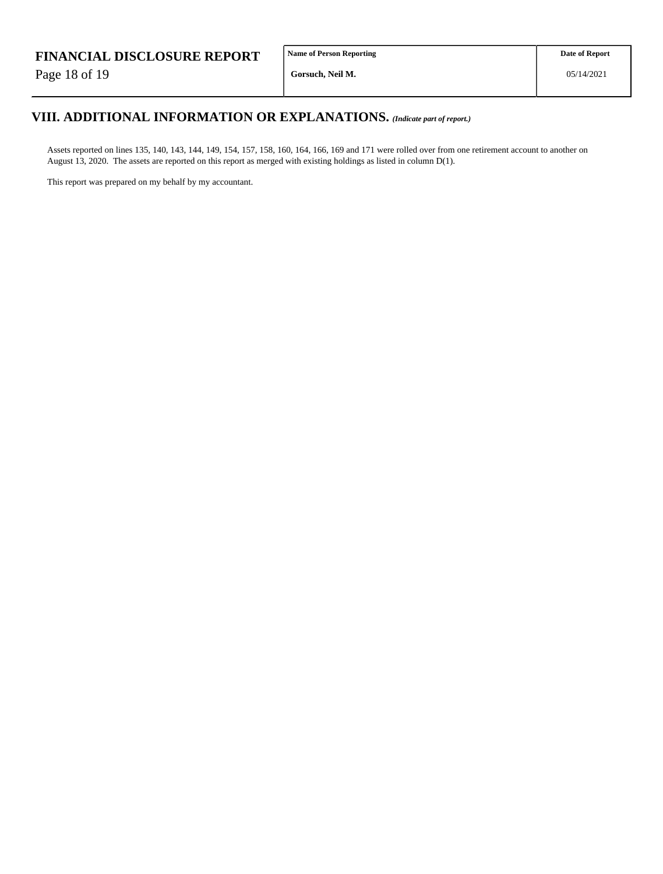Page 18 of 19

# **VIII. ADDITIONAL INFORMATION OR EXPLANATIONS.** *(Indicate part of report.)*

Assets reported on lines 135, 140, 143, 144, 149, 154, 157, 158, 160, 164, 166, 169 and 171 were rolled over from one retirement account to another on August 13, 2020. The assets are reported on this report as merged with existing holdings as listed in column D(1).

This report was prepared on my behalf by my accountant.